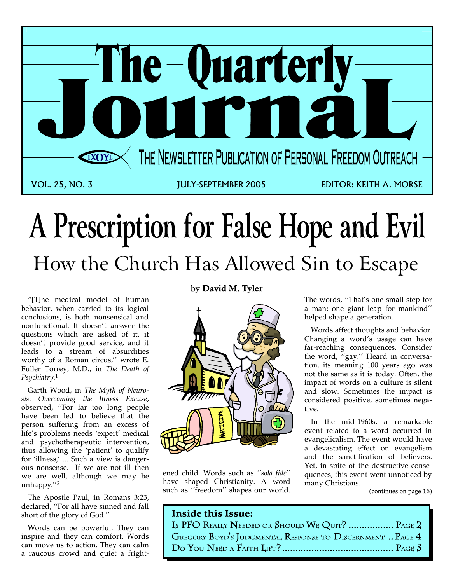

# A Prescription for False Hope and Evil How the Church Has Allowed Sin to Escape

"[T]he medical model of human behavior, when carried to its logical conclusions, is both nonsensical and nonfunctional. It doesn't answer the questions which are asked of it, it doesn't provide good service, and it leads to a stream of absurdities worthy of a Roman circus,'' wrote E. Fuller Torrey, M.D., in *The Death of Psychiatry*.1

Garth Wood, in *The Myth of Neurosis*: *Overcoming the Illness Excuse*, observed, ''For far too long people have been led to believe that the person suffering from an excess of life's problems needs 'expert' medical and psychotherapeutic intervention, thus allowing the 'patient' to qualify for 'illness,' ... Such a view is dangerous nonsense. If we are not ill then we are well, although we may be unhappy.''2

The Apostle Paul, in Romans 3:23, declared, ''For all have sinned and fall short of the glory of God.''

Words can be powerful. They can inspire and they can comfort. Words can move us to action. They can calm a raucous crowd and quiet a frightby **David M. Tyler**



ened child. Words such as *''sola fide''* have shaped Christianity. A word such as ''freedom'' shapes our world. The words, ''That's one small step for a man; one giant leap for mankind'' helped shape a generation.

Words affect thoughts and behavior. Changing a word's usage can have far-reaching consequences. Consider the word, ''gay.'' Heard in conversation, its meaning 100 years ago was not the same as it is today. Often, the impact of words on a culture is silent and slow. Sometimes the impact is considered positive, sometimes negative.

In the mid-1960s, a remarkable event related to a word occurred in evangelicalism. The event would have a devastating effect on evangelism and the sanctification of believers. Yet, in spite of the destructive consequences, this event went unnoticed by many Christians.

(continues on page 16)

# Inside this Issue:

**Is PFO Really Needed or Should We Quit? ................. Page 2 Gregory Boyd's Judgmental Response to Discernment .. Page 4 Do You Need a Faith Lift? .......................................... Page 5**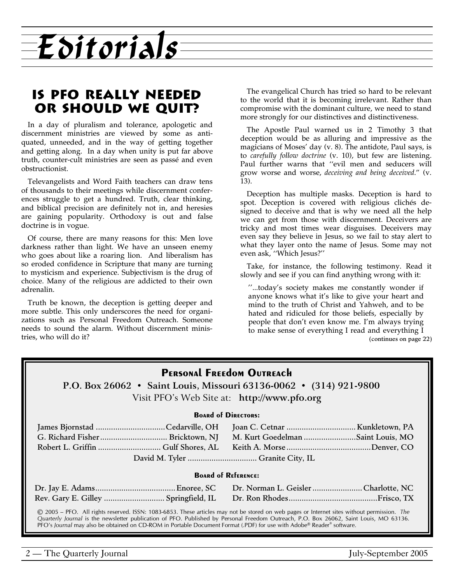# *Editorials*

# IS PFO REALLY NEEDED OR SHOULD WE QUIT?

In a day of pluralism and tolerance, apologetic and discernment ministries are viewed by some as antiquated, unneeded, and in the way of getting together and getting along. In a day when unity is put far above truth, counter-cult ministries are seen as passé and even obstructionist.

Televangelists and Word Faith teachers can draw tens of thousands to their meetings while discernment conferences struggle to get a hundred. Truth, clear thinking, and biblical precision are definitely not in, and heresies are gaining popularity. Orthodoxy is out and false doctrine is in vogue.

Of course, there are many reasons for this: Men love darkness rather than light. We have an unseen enemy who goes about like a roaring lion. And liberalism has so eroded confidence in Scripture that many are turning to mysticism and experience. Subjectivism is the drug of choice. Many of the religious are addicted to their own adrenalin.

Truth be known, the deception is getting deeper and more subtle. This only underscores the need for organizations such as Personal Freedom Outreach. Someone needs to sound the alarm. Without discernment ministries, who will do it?

The evangelical Church has tried so hard to be relevant to the world that it is becoming irrelevant. Rather than compromise with the dominant culture, we need to stand more strongly for our distinctives and distinctiveness.

The Apostle Paul warned us in 2 Timothy 3 that deception would be as alluring and impressive as the magicians of Moses' day (v. 8). The antidote, Paul says, is to *carefully follow doctrine* (v. 10), but few are listening. Paul further warns that ''evil men and seducers will grow worse and worse, *deceiving and being deceived*." (v. 13).

Deception has multiple masks. Deception is hard to spot. Deception is covered with religious clichés designed to deceive and that is why we need all the help we can get from those with discernment. Deceivers are tricky and most times wear disguises. Deceivers may even say they believe in Jesus, so we fail to stay alert to what they layer onto the name of Jesus. Some may not even ask, ''Which Jesus?''

Take, for instance, the following testimony. Read it slowly and see if you can find anything wrong with it:

''...today's society makes me constantly wonder if anyone knows what it's like to give your heart and mind to the truth of Christ and Yahweh, and to be hated and ridiculed for those beliefs, especially by people that don't even know me. I'm always trying to make sense of everything I read and everything I (continues on page 22)

# **Personal Freedom Outreach**

**P.O. Box 26062 • Saint Louis, Missouri 63136-0062 • (314) 921-9800** Visit PFO's Web Site at: **http://www.pfo.org**

#### **Board of Directors:**

| James Bjornstad Cedarville, OH                                                                                                                                                                                                                                                        | M. Kurt Goedelman Saint Louis, MO   |
|---------------------------------------------------------------------------------------------------------------------------------------------------------------------------------------------------------------------------------------------------------------------------------------|-------------------------------------|
|                                                                                                                                                                                                                                                                                       |                                     |
| <b>BOARD OF REFERENCE:</b>                                                                                                                                                                                                                                                            |                                     |
|                                                                                                                                                                                                                                                                                       | Dr. Norman L. Geisler Charlotte, NC |
|                                                                                                                                                                                                                                                                                       |                                     |
| © 2005 – PFO. All rights reserved. ISSN: 1083-6853. These articles may not be stored on web pages or Internet sites without permission. The<br>Quarterly Journal is the newsletter publication of PFO. Published by Personal Freedom Outreach, P.O. Box 26062, Saint Louis, MO 63136. |                                     |

PFO's *Journal* may also be obtained on CD-ROM in Portable Document Format (.PDF) for use with Adobe® Reader® software.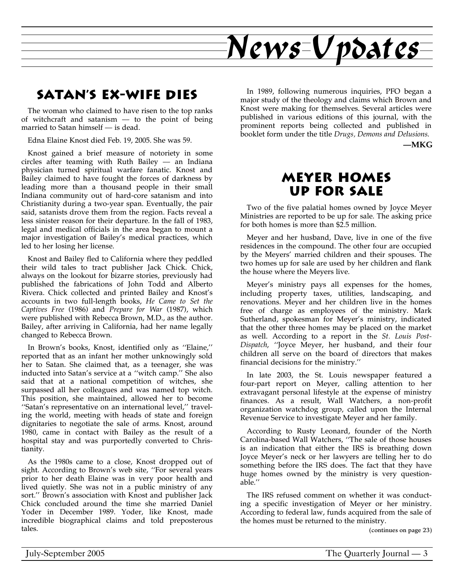

# SATAN'S EX-WIFE DIES

The woman who claimed to have risen to the top ranks of witchcraft and satanism  $-$  to the point of being married to Satan himself — is dead.

Edna Elaine Knost died Feb. 19, 2005. She was 59.

Knost gained a brief measure of notoriety in some circles after teaming with Ruth Bailey — an Indiana physician turned spiritual warfare fanatic. Knost and Bailey claimed to have fought the forces of darkness by leading more than a thousand people in their small Indiana community out of hard-core satanism and into Christianity during a two-year span. Eventually, the pair said, satanists drove them from the region. Facts reveal a less sinister reason for their departure. In the fall of 1983, legal and medical officials in the area began to mount a major investigation of Bailey's medical practices, which led to her losing her license.

Knost and Bailey fled to California where they peddled their wild tales to tract publisher Jack Chick. Chick, always on the lookout for bizarre stories, previously had published the fabrications of John Todd and Alberto Rivera. Chick collected and printed Bailey and Knost's accounts in two full-length books, *He Came to Set the Captives Free* (1986) and *Prepare for War* (1987), which were published with Rebecca Brown, M.D., as the author. Bailey, after arriving in California, had her name legally changed to Rebecca Brown.

In Brown's books, Knost, identified only as ''Elaine,'' reported that as an infant her mother unknowingly sold her to Satan. She claimed that, as a teenager, she was inducted into Satan's service at a ''witch camp.'' She also said that at a national competition of witches, she surpassed all her colleagues and was named top witch. This position, she maintained, allowed her to become "Satan's representative on an international level," traveling the world, meeting with heads of state and foreign dignitaries to negotiate the sale of arms. Knost, around 1980, came in contact with Bailey as the result of a hospital stay and was purportedly converted to Christianity.

As the 1980s came to a close, Knost dropped out of sight. According to Brown's web site, ''For several years prior to her death Elaine was in very poor health and lived quietly. She was not in a public ministry of any sort.'' Brown's association with Knost and publisher Jack Chick concluded around the time she married Daniel Yoder in December 1989. Yoder, like Knost, made incredible biographical claims and told preposterous tales.

In 1989, following numerous inquiries, PFO began a major study of the theology and claims which Brown and Knost were making for themselves. Several articles were published in various editions of this journal, with the prominent reports being collected and published in booklet form under the title *Drugs, Demons and Delusions*.

**—MKG**

# MEYER HOMES UP FOR SALE

Two of the five palatial homes owned by Joyce Meyer Ministries are reported to be up for sale. The asking price for both homes is more than \$2.5 million.

Meyer and her husband, Dave, live in one of the five residences in the compound. The other four are occupied by the Meyers' married children and their spouses. The two homes up for sale are used by her children and flank the house where the Meyers live.

Meyer's ministry pays all expenses for the homes, including property taxes, utilities, landscaping, and renovations. Meyer and her children live in the homes free of charge as employees of the ministry. Mark Sutherland, spokesman for Meyer's ministry, indicated that the other three homes may be placed on the market as well. According to a report in the *St. Louis Post-Dispatch*, ''Joyce Meyer, her husband, and their four children all serve on the board of directors that makes financial decisions for the ministry.''

In late 2003, the St. Louis newspaper featured a four-part report on Meyer, calling attention to her extravagant personal lifestyle at the expense of ministry finances. As a result, Wall Watchers, a non-profit organization watchdog group, called upon the Internal Revenue Service to investigate Meyer and her family.

According to Rusty Leonard, founder of the North Carolina-based Wall Watchers, ''The sale of those houses is an indication that either the IRS is breathing down Joyce Meyer's neck or her lawyers are telling her to do something before the IRS does. The fact that they have huge homes owned by the ministry is very questionable.''

The IRS refused comment on whether it was conducting a specific investigation of Meyer or her ministry. According to federal law, funds acquired from the sale of the homes must be returned to the ministry.

(continues on page 23)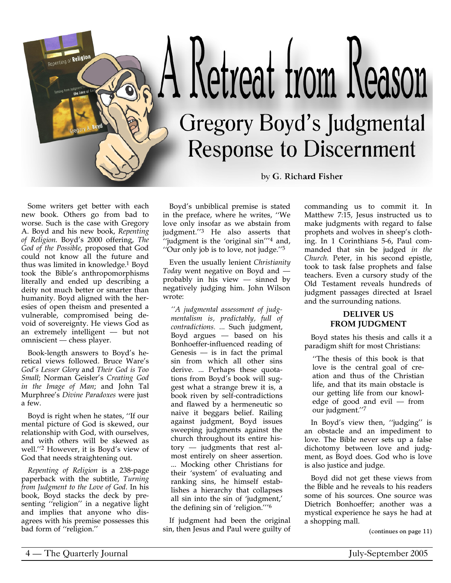**Gregory Boyd's Judgmental Response to Discernment** 

Retreat from Reason

by G. Richard Fisher

Some writers get better with each new book. Others go from bad to worse. Such is the case with Gregory A. Boyd and his new book, *Repenting of Religion*. Boyd's 2000 offering, *The God of the Possible*, proposed that God could not know all the future and thus was limited in knowledge.1 Boyd took the Bible's anthropomorphisms literally and ended up describing a deity not much better or smarter than humanity. Boyd aligned with the heresies of open theism and presented a vulnerable, compromised being devoid of sovereignty. He views God as an extremely intelligent — but not omniscient — chess player.

Repenting of Religion

Book-length answers to Boyd's heretical views followed. Bruce Ware's *God's Lesser Glory* and *Their God is Too Small*; Norman Geisler's *Creating God in the Image of Man*; and John Tal Murphree's *Divine Paradoxes* were just a few.

Boyd is right when he states, ''If our mental picture of God is skewed, our relationship with God, with ourselves, and with others will be skewed as well.''2 However, it is Boyd's view of God that needs straightening out.

*Repenting of Religion* is a 238-page paperback with the subtitle, *Turning from Judgment to the Love of God*. In his book, Boyd stacks the deck by presenting ''religion'' in a negative light and implies that anyone who disagrees with his premise possesses this bad form of ''religion.''

Boyd's unbiblical premise is stated in the preface, where he writes, ''We love only insofar as we abstain from judgment.''3 He also asserts that ''judgment is the 'original sin'''4 and, ''Our only job is to love, not judge.''5

Even the usually lenient *Christianity* Today went negative on Boyd and probably in his view — sinned by negatively judging him. John Wilson wrote:

*''A judgmental assessment of judgmentalism is, predictably, full of contradictions.* ... Such judgment, Boyd argues — based on his Bonhoeffer-influenced reading of  $Genesis$  — is in fact the primal sin from which all other sins derive. ... Perhaps these quotations from Boyd's book will suggest what a strange brew it is, a book riven by self-contradictions and flawed by a hermeneutic so naive it beggars belief. Railing against judgment, Boyd issues sweeping judgments against the church throughout its entire history — judgments that rest almost entirely on sheer assertion. ... Mocking other Christians for their 'system' of evaluating and ranking sins, he himself establishes a hierarchy that collapses all sin into the sin of 'judgment,' the defining sin of 'religion.'''6

If judgment had been the original sin, then Jesus and Paul were guilty of

commanding us to commit it. In Matthew 7:15, Jesus instructed us to make judgments with regard to false prophets and wolves in sheep's clothing. In 1 Corinthians 5-6, Paul commanded that sin be judged *in the Church*. Peter, in his second epistle, took to task false prophets and false teachers. Even a cursory study of the Old Testament reveals hundreds of judgment passages directed at Israel and the surrounding nations.

# **DELIVER US FROM JUDGMENT**

Boyd states his thesis and calls it a paradigm shift for most Christians:

''The thesis of this book is that love is the central goal of creation and thus of the Christian life, and that its main obstacle is our getting life from our knowledge of good and evil — from our judgment.''7

In Boyd's view then, ''judging'' is an obstacle and an impediment to love. The Bible never sets up a false dichotomy between love and judgment, as Boyd does. God who is love is also justice and judge.

Boyd did not get these views from the Bible and he reveals to his readers some of his sources. One source was Dietrich Bonhoeffer; another was a mystical experience he says he had at a shopping mall.

(continues on page 11)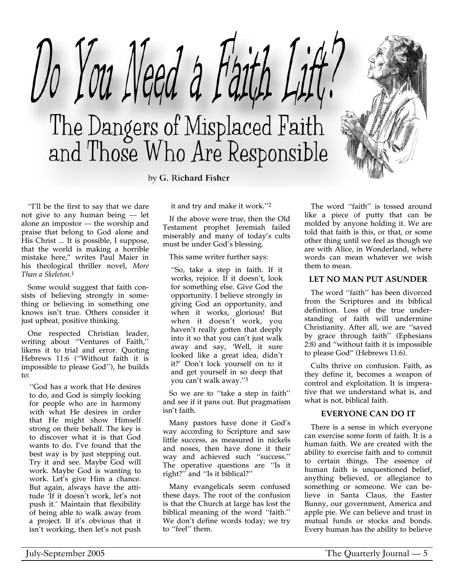The Dangers of Misplaced Faith<br>and Those Who Are Responsible

Do You Need a Faith Lit

by G. Richard Fisher

''I'll be the first to say that we dare not give to any human being — let alone an impostor — the worship and praise that belong to God alone and His Christ ... It is possible, I suppose, that the world is making a horrible mistake here," writes Paul Maier in his theological thriller novel, *More Than a Skeleton*.1

Some would suggest that faith consists of believing strongly in something or believing in something one knows isn't true. Others consider it just upbeat, positive thinking.

One respected Christian leader, writing about ''Ventures of Faith,'' likens it to trial and error. Quoting Hebrews 11:6 (''Without faith it is impossible to please God''), he builds to:

''God has a work that He desires to do, and God is simply looking for people who are in harmony with what He desires in order that He might show Himself strong on their behalf. The key is to discover what it is that God wants to do. I've found that the best way is by just stepping out. Try it and see. Maybe God will work. Maybe God is wanting to work. Let's give Him a chance. But again, always have the attitude 'If it doesn't work, let's not push it.' Maintain that flexibility of being able to walk away from a project. If it's obvious that it isn't working, then let's not push

it and try and make it work.''2

If the above were true, then the Old Testament prophet Jeremiah failed miserably and many of today's cults must be under God's blessing.

This same writer further says:

''So, take a step in faith. If it works, rejoice. If it doesn't, look for something else. Give God the opportunity. I believe strongly in giving God an opportunity, and when it works, glorious! But when it doesn't work, you haven't really gotten that deeply into it so that you can't just walk away and say, 'Well, it sure looked like a great idea, didn't it?' Don't lock yourself on to it and get yourself in so deep that you can't walk away.''3

So we are to ''take a step in faith'' and see if it pans out. But pragmatism isn't faith.

Many pastors have done it God's way according to Scripture and saw little success, as measured in nickels and noses, then have done it their way and achieved such ''success.'' The operative questions are ''Is it right?'' and ''Is it biblical?''

Many evangelicals seem confused these days. The root of the confusion is that the Church at large has lost the biblical meaning of the word ''faith.'' We don't define words today; we try to ''feel'' them.

The word ''faith'' is tossed around like a piece of putty that can be molded by anyone holding it. We are told that faith is this, or that, or some other thing until we feel as though we are with Alice, in Wonderland, where words can mean whatever we wish them to mean.

# **LET NO MAN PUT ASUNDER**

The word ''faith'' has been divorced from the Scriptures and its biblical definition. Loss of the true understanding of faith will undermine Christianity. After all, we are ''saved by grace through faith'' (Ephesians 2:8) and "without faith it is impossible to please God" (Hebrews 11:6).

Cults thrive on confusion. Faith, as they define it, becomes a weapon of control and exploitation. It is imperative that we understand what is, and what is not, biblical faith.

### **EVERYONE CAN DO IT**

There is a sense in which everyone can exercise some form of faith. It is a human faith. We are created with the ability to exercise faith and to commit to certain things. The essence of human faith is unquestioned belief, anything believed, or allegiance to something or someone. We can believe in Santa Claus, the Easter Bunny, our government, America and apple pie. We can believe and trust in mutual funds or stocks and bonds. Every human has the ability to believe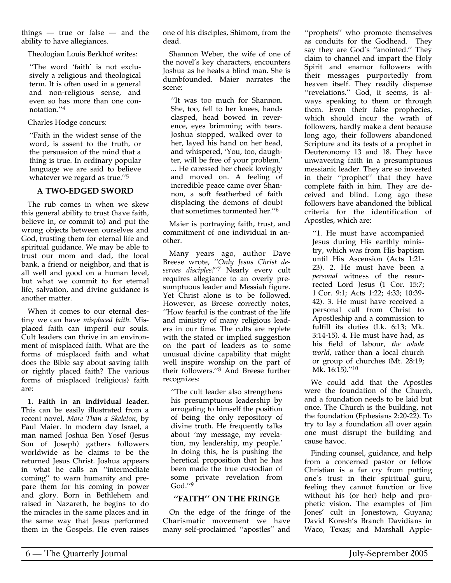things — true or false — and the ability to have allegiances.

Theologian Louis Berkhof writes:

''The word 'faith' is not exclusively a religious and theological term. It is often used in a general and non-religious sense, and even so has more than one connotation.''4

Charles Hodge concurs:

''Faith in the widest sense of the word, is assent to the truth, or the persuasion of the mind that a thing is true. In ordinary popular language we are said to believe whatever we regard as true."<sup>5</sup>

# **A TWO-EDGED SWORD**

The rub comes in when we skew this general ability to trust (have faith, believe in, or commit to) and put the wrong objects between ourselves and God, trusting them for eternal life and spiritual guidance. We may be able to trust our mom and dad, the local bank, a friend or neighbor, and that is all well and good on a human level, but what we commit to for eternal life, salvation, and divine guidance is another matter.

When it comes to our eternal destiny we can have *misplaced faith*. Misplaced faith can imperil our souls. Cult leaders can thrive in an environment of misplaced faith. What are the forms of misplaced faith and what does the Bible say about saving faith or rightly placed faith? The various forms of misplaced (religious) faith are:

**1. Faith in an individual leader.** This can be easily illustrated from a recent novel, *More Than a Skeleton*, by Paul Maier. In modern day Israel, a man named Joshua Ben Yosef (Jesus Son of Joseph) gathers followers worldwide as he claims to be the returned Jesus Christ. Joshua appears in what he calls an ''intermediate coming'' to warn humanity and prepare them for his coming in power and glory. Born in Bethlehem and raised in Nazareth, he begins to do the miracles in the same places and in the same way that Jesus performed them in the Gospels. He even raises one of his disciples, Shimom, from the dead.

Shannon Weber, the wife of one of the novel's key characters, encounters Joshua as he heals a blind man. She is dumbfounded. Maier narrates the scene:

''It was too much for Shannon. She, too, fell to her knees, hands clasped, head bowed in reverence, eyes brimming with tears. Joshua stopped, walked over to her, layed his hand on her head, and whispered, 'You, too, daughter, will be free of your problem.' ... He caressed her cheek lovingly and moved on. A feeling of incredible peace came over Shannon, a soft featherbed of faith displacing the demons of doubt that sometimes tormented her.''6

Maier is portraying faith, trust, and commitment of one individual in another.

Many years ago, author Dave Breese wrote, *''Only Jesus Christ deserves disciples!''*7 Nearly every cult requires allegiance to an overly presumptuous leader and Messiah figure. Yet Christ alone is to be followed. However, as Breese correctly notes, ''How fearful is the contrast of the life and ministry of many religious leaders in our time. The cults are replete with the stated or implied suggestion on the part of leaders as to some unusual divine capability that might well inspire worship on the part of their followers.''8 And Breese further recognizes:

''The cult leader also strengthens his presumptuous leadership by arrogating to himself the position of being the only repository of divine truth. He frequently talks about 'my message, my revelation, my leadership, my people.' In doing this, he is pushing the heretical proposition that he has been made the true custodian of some private revelation from God.''9

# **''FAITH'' ON THE FRINGE**

On the edge of the fringe of the Charismatic movement we have many self-proclaimed ''apostles'' and

''prophets'' who promote themselves as conduits for the Godhead. They say they are God's ''anointed.'' They claim to channel and impart the Holy Spirit and enamor followers with their messages purportedly from heaven itself. They readily dispense "revelations." God, it seems, is always speaking to them or through them. Even their false prophecies, which should incur the wrath of followers, hardly make a dent because long ago, their followers abandoned Scripture and its tests of a prophet in Deuteronomy 13 and 18. They have unwavering faith in a presumptuous messianic leader. They are so invested in their ''prophet'' that they have complete faith in him. They are deceived and blind. Long ago these followers have abandoned the biblical criteria for the identification of Apostles, which are:

''1. He must have accompanied Jesus during His earthly ministry, which was from His baptism until His Ascension (Acts 1:21-23). 2. He must have been a *personal* witness of the resurrected Lord Jesus (1 Cor. 15:7; 1 Cor. 9:1; Acts 1:22; 4:33; 10:39- 42). 3. He must have received a personal call from Christ to Apostleship and a commission to fulfill its duties (Lk. 6:13; Mk. 3:14-15). 4. He must have had, as his field of labour, *the whole world*, rather than a local church or group of churches (Mt. 28:19; Mk. 16:15).''10

We could add that the Apostles were the foundation of the Church, and a foundation needs to be laid but once. The Church is the building, not the foundation (Ephesians 2:20-22). To try to lay a foundation all over again one must disrupt the building and cause havoc.

Finding counsel, guidance, and help from a concerned pastor or fellow Christian is a far cry from putting one's trust in their spiritual guru, feeling they cannot function or live without his (or her) help and prophetic vision. The examples of Jim Jones' cult in Jonestown, Guyana; David Koresh's Branch Davidians in Waco, Texas; and Marshall Apple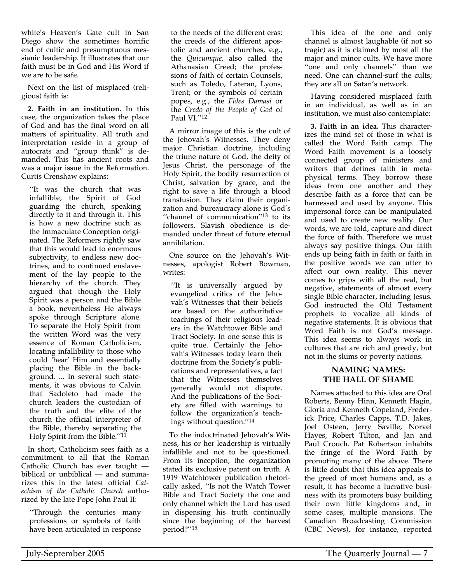white's Heaven's Gate cult in San Diego show the sometimes horrific end of cultic and presumptuous messianic leadership. It illustrates that our faith must be in God and His Word if we are to be safe.

Next on the list of misplaced (religious) faith is:

**2. Faith in an institution.** In this case, the organization takes the place of God and has the final word on all matters of spirituality. All truth and interpretation reside in a group of autocrats and "group think" is demanded. This has ancient roots and was a major issue in the Reformation. Curtis Crenshaw explains:

''It was the church that was infallible, the Spirit of God guarding the church, speaking directly to it and through it. This is how a new doctrine such as the Immaculate Conception originated. The Reformers rightly saw that this would lead to enormous subjectivity, to endless new doctrines, and to continued enslavement of the lay people to the hierarchy of the church. They argued that though the Holy Spirit was a person and the Bible a book, nevertheless He always spoke through Scripture alone. To separate the Holy Spirit from the written Word was the very essence of Roman Catholicism, locating infallibility to those who could 'hear' Him and essentially placing the Bible in the background. ... In several such statements, it was obvious to Calvin that Sadoleto had made the church leaders the custodian of the truth and the elite of the church the official interpreter of the Bible, thereby separating the Holy Spirit from the Bible.''11

In short, Catholicism sees faith as a commitment to all that the Roman Catholic Church has ever taught biblical or unbiblical — and summarizes this in the latest official *Catechism of the Catholic Church* authorized by the late Pope John Paul II:

''Through the centuries many professions or symbols of faith have been articulated in response to the needs of the different eras: the creeds of the different apostolic and ancient churches, e.g., the *Quicumque*, also called the Athanasian Creed; the professions of faith of certain Counsels, such as Toledo, Lateran, Lyons, Trent; or the symbols of certain popes, e.g., the *Fides Damasi* or the *Credo of the People of God* of Paul VI."<sup>12</sup>

A mirror image of this is the cult of the Jehovah's Witnesses. They deny major Christian doctrine, including the triune nature of God, the deity of Jesus Christ, the personage of the Holy Spirit, the bodily resurrection of Christ, salvation by grace, and the right to save a life through a blood transfusion. They claim their organization and bureaucracy alone is God's "channel of communication"<sup>13</sup> to its followers. Slavish obedience is demanded under threat of future eternal annihilation.

One source on the Jehovah's Witnesses, apologist Robert Bowman, writes:

''It is universally argued by evangelical critics of the Jehovah's Witnesses that their beliefs are based on the authoritative teachings of their religious leaders in the Watchtower Bible and Tract Society. In one sense this is quite true. Certainly the Jehovah's Witnesses today learn their doctrine from the Society's publications and representatives, a fact that the Witnesses themselves generally would not dispute. And the publications of the Society are filled with warnings to follow the organization's teachings without question.''14

To the indoctrinated Jehovah's Witness, his or her leadership is virtually infallible and not to be questioned. From its inception, the organization stated its exclusive patent on truth. A 1919 Watchtower publication rhetorically asked, ''Is not the Watch Tower Bible and Tract Society the one and only channel which the Lord has used in dispensing his truth continually since the beginning of the harvest period?''15

This idea of the one and only channel is almost laughable (if not so tragic) as it is claimed by most all the major and minor cults. We have more "one and only channels" than we need. One can channel-surf the cults; they are all on Satan's network.

Having considered misplaced faith in an individual, as well as in an institution, we must also contemplate:

**3. Faith in an idea.** This characterizes the mind set of those in what is called the Word Faith camp. The Word Faith movement is a loosely connected group of ministers and writers that defines faith in metaphysical terms. They borrow these ideas from one another and they describe faith as a force that can be harnessed and used by anyone. This impersonal force can be manipulated and used to create new reality. Our words, we are told, capture and direct the force of faith. Therefore we must always say positive things. Our faith ends up being faith in faith or faith in the positive words we can utter to affect our own reality. This never comes to grips with all the real, but negative, statements of almost every single Bible character, including Jesus. God instructed the Old Testament prophets to vocalize all kinds of negative statements. It is obvious that Word Faith is not God's message. This idea seems to always work in cultures that are rich and greedy, but not in the slums or poverty nations.

# **NAMING NAMES: THE HALL OF SHAME**

Names attached to this idea are Oral Roberts, Benny Hinn, Kenneth Hagin, Gloria and Kenneth Copeland, Frederick Price, Charles Capps, T.D. Jakes, Joel Osteen, Jerry Saville, Norvel Hayes, Robert Tilton, and Jan and Paul Crouch. Pat Robertson inhabits the fringe of the Word Faith by promoting many of the above. There is little doubt that this idea appeals to the greed of most humans and, as a result, it has become a lucrative business with its promoters busy building their own little kingdoms and, in some cases, multiple mansions. The Canadian Broadcasting Commission (CBC News), for instance, reported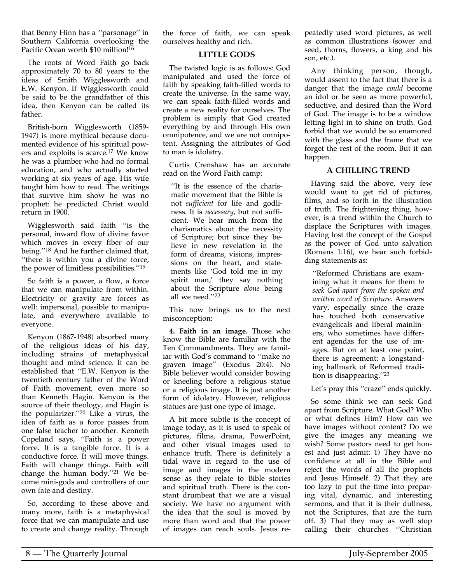that Benny Hinn has a ''parsonage'' in Southern California overlooking the Pacific Ocean worth \$10 million!<sup>16</sup>

The roots of Word Faith go back approximately 70 to 80 years to the ideas of Smith Wigglesworth and E.W. Kenyon. If Wigglesworth could be said to be the grandfather of this idea, then Kenyon can be called its father.

British-born Wigglesworth (1859- 1947) is more mythical because documented evidence of his spiritual powers and exploits is scarce.17 We know he was a plumber who had no formal education, and who actually started working at six years of age. His wife taught him how to read. The writings that survive him show he was no prophet: he predicted Christ would return in 1900.

Wigglesworth said faith ''is the personal, inward flow of divine favor which moves in every fiber of our being.''18 And he further claimed that, ''there is within you a divine force, the power of limitless possibilities.''19

So faith is a power, a flow, a force that we can manipulate from within. Electricity or gravity are forces as well: impersonal, possible to manipulate, and everywhere available to everyone.

Kenyon (1867-1948) absorbed many of the religious ideas of his day, including strains of metaphysical thought and mind science. It can be established that ''E.W. Kenyon is the twentieth century father of the Word of Faith movement, even more so than Kenneth Hagin. Kenyon is the source of their theology, and Hagin is the popularizer.''20 Like a virus, the idea of faith as a force passes from one false teacher to another. Kenneth Copeland says, ''Faith is a power force. It is a tangible force. It is a conductive force. It will move things. Faith will change things. Faith will change the human body.''21 We become mini-gods and controllers of our own fate and destiny.

So, according to these above and many more, faith is a metaphysical force that we can manipulate and use to create and change reality. Through the force of faith, we can speak ourselves healthy and rich.

## **LITTLE GODS**

The twisted logic is as follows: God manipulated and used the force of faith by speaking faith-filled words to create the universe. In the same way, we can speak faith-filled words and create a new reality for ourselves. The problem is simply that God created everything by and through His own omnipotence, and we are not omnipotent. Assigning the attributes of God to man is idolatry.

Curtis Crenshaw has an accurate read on the Word Faith camp:

''It is the essence of the charismatic movement that the Bible is not *sufficient* for life and godliness. It is *necessary*, but not sufficient. We hear much from the charismatics about the necessity of Scripture; but since they believe in new revelation in the form of dreams, visions, impressions on the heart, and statements like 'God told me in my spirit man,' they say nothing about the Scripture *alone* being all we need.''22

This now brings us to the next misconception:

**4. Faith in an image.** Those who know the Bible are familiar with the Ten Commandments. They are familiar with God's command to ''make no graven image'' (Exodus 20:4). No Bible believer would consider bowing or kneeling before a religious statue or a religious image. It is just another form of idolatry. However, religious statues are just one type of image.

A bit more subtle is the concept of image today, as it is used to speak of pictures, films, drama, PowerPoint, and other visual images used to enhance truth. There is definitely a tidal wave in regard to the use of image and images in the modern sense as they relate to Bible stories and spiritual truth. There is the constant drumbeat that we are a visual society. We have no argument with the idea that the soul is moved by more than word and that the power of images can reach souls. Jesus re-

peatedly used word pictures, as well as common illustrations (sower and seed, thorns, flowers, a king and his son, etc.).

Any thinking person, though, would assent to the fact that there is a danger that the image *could* become an idol or be seen as more powerful, seductive, and desired than the Word of God. The image is to be a window letting light in to shine on truth. God forbid that we would be so enamored with the glass and the frame that we forget the rest of the room. But it can happen.

# **A CHILLING TREND**

Having said the above, very few would want to get rid of pictures, films, and so forth in the illustration of truth. The frightening thing, however, is a trend within the Church to displace the Scriptures with images. Having lost the concept of the Gospel as the power of God unto salvation (Romans 1:16), we hear such forbidding statements as:

''Reformed Christians are examining what it means for them *to seek God apart from the spoken and written word of Scripture*. Answers vary, especially since the craze has touched both conservative evangelicals and liberal mainliners, who sometimes have different agendas for the use of images. But on at least one point, there is agreement: a longstanding hallmark of Reformed tradition is disappearing.''23

Let's pray this ''craze'' ends quickly.

So some think we can seek God apart from Scripture. What God? Who or what defines Him? How can we have images without content? Do we give the images any meaning we wish? Some pastors need to get honest and just admit: 1) They have no confidence at all in the Bible and reject the words of all the prophets and Jesus Himself. 2) That they are too lazy to put the time into preparing vital, dynamic, and interesting sermons, and that it is their dullness, not the Scriptures, that are the turn off. 3) That they may as well stop calling their churches ''Christian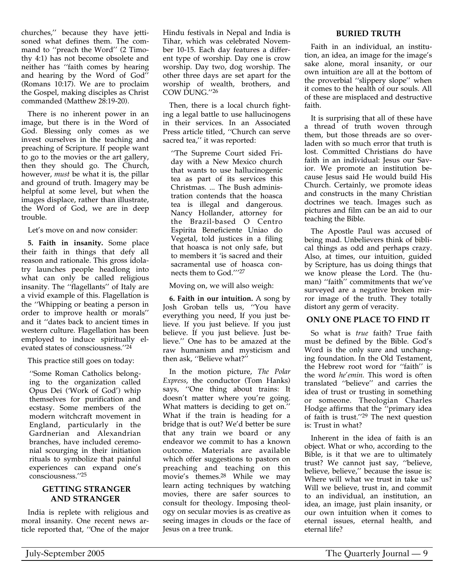churches,'' because they have jettisoned what defines them. The command to ''preach the Word'' (2 Timothy 4:1) has not become obsolete and neither has ''faith comes by hearing and hearing by the Word of God'' (Romans 10:17). We are to proclaim the Gospel, making disciples as Christ commanded (Matthew 28:19-20).

There is no inherent power in an image, but there is in the Word of God. Blessing only comes as we invest ourselves in the teaching and preaching of Scripture. If people want to go to the movies or the art gallery, then they should go. The Church, however, *must* be what it is, the pillar and ground of truth. Imagery may be helpful at some level, but when the images displace, rather than illustrate, the Word of God, we are in deep trouble.

#### Let's move on and now consider:

**5. Faith in insanity.** Some place their faith in things that defy all reason and rationale. This gross idolatry launches people headlong into what can only be called religious insanity. The ''flagellants'' of Italy are a vivid example of this. Flagellation is the ''Whipping or beating a person in order to improve health or morals'' and it ''dates back to ancient times in western culture. Flagellation has been employed to induce spiritually elevated states of consciousness.''24

This practice still goes on today:

''Some Roman Catholics belonging to the organization called Opus Dei ('Work of God') whip themselves for purification and ecstasy. Some members of the modern witchcraft movement in England, particularly in the Gardnerian and Alexandrian branches, have included ceremonial scourging in their initiation rituals to symbolize that painful experiences can expand one's consciousness.''25

# **GETTING STRANGER AND STRANGER**

India is replete with religious and moral insanity. One recent news article reported that, ''One of the major

Hindu festivals in Nepal and India is Tihar, which was celebrated November 10-15. Each day features a different type of worship. Day one is crow worship. Day two, dog worship. The other three days are set apart for the worship of wealth, brothers, and COW DUNG.''26

Then, there is a local church fighting a legal battle to use hallucinogens in their services. In an Associated Press article titled, ''Church can serve sacred tea," it was reported:

''The Supreme Court sided Friday with a New Mexico church that wants to use hallucinogenic tea as part of its services this Christmas. ... The Bush administration contends that the hoasca tea is illegal and dangerous. Nancy Hollander, attorney for the Brazil-based O Centro Espirita Beneficiente Uniao do Vegetal, told justices in a filing that hoasca is not only safe, but to members it 'is sacred and their sacramental use of hoasca connects them to God.'''27

Moving on, we will also weigh:

**6. Faith in our intuition.** A song by Josh Groban tells us, ''You have everything you need, If you just believe. If you just believe. If you just believe. If you just believe. Just believe.'' One has to be amazed at the raw humanism and mysticism and then ask, ''Believe what?''

In the motion picture, *The Polar Express*, the conductor (Tom Hanks) says, ''One thing about trains: It doesn't matter where you're going. What matters is deciding to get on.'' What if the train is heading for a bridge that is out? We'd better be sure that any train we board or any endeavor we commit to has a known outcome. Materials are available which offer suggestions to pastors on preaching and teaching on this movie's themes.28 While we may learn acting techniques by watching movies, there are safer sources to consult for theology. Imposing theology on secular movies is as creative as seeing images in clouds or the face of Jesus on a tree trunk.

# **BURIED TRUTH**

Faith in an individual, an institution, an idea, an image for the image's sake alone, moral insanity, or our own intuition are all at the bottom of the proverbial ''slippery slope'' when it comes to the health of our souls. All of these are misplaced and destructive faith.

It is surprising that all of these have a thread of truth woven through them, but those threads are so overladen with so much error that truth is lost. Committed Christians do have faith in an individual: Jesus our Savior. We promote an institution because Jesus said He would build His Church. Certainly, we promote ideas and constructs in the many Christian doctrines we teach. Images such as pictures and film can be an aid to our teaching the Bible.

The Apostle Paul was accused of being mad. Unbelievers think of biblical things as odd and perhaps crazy. Also, at times, our intuition, guided by Scripture, has us doing things that we know please the Lord. The (human) "faith" commitments that we've surveyed are a negative broken mirror image of the truth. They totally distort any germ of veracity.

# **ONLY ONE PLACE TO FIND IT**

So what is *true* faith? True faith must be defined by the Bible. God's Word is the only sure and unchanging foundation. In the Old Testament, the Hebrew root word for ''faith'' is the word *he'emin*. This word is often translated ''believe'' and carries the idea of trust or trusting in something or someone. Theologian Charles Hodge affirms that the ''primary idea of faith is trust.''29 The next question is: Trust in what?

Inherent in the idea of faith is an object. What or who, according to the Bible, is it that we are to ultimately trust? We cannot just say, ''believe, believe, believe,'' because the issue is: Where will what we trust in take us? Will we believe, trust in, and commit to an individual, an institution, an idea, an image, just plain insanity, or our own intuition when it comes to eternal issues, eternal health, and eternal life?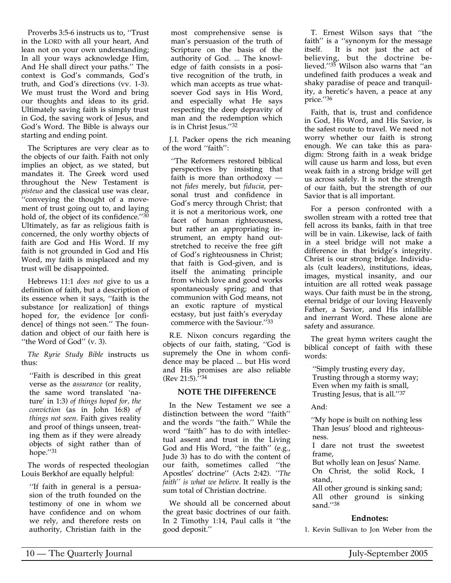Proverbs 3:5-6 instructs us to, ''Trust in the LORD with all your heart, And lean not on your own understanding; In all your ways acknowledge Him, And He shall direct your paths.'' The context is God's commands, God's truth, and God's directions (vv. 1-3). We must trust the Word and bring our thoughts and ideas to its grid. Ultimately saving faith is simply trust in God, the saving work of Jesus, and God's Word. The Bible is always our starting and ending point.

The Scriptures are very clear as to the objects of our faith. Faith not only implies an object, as we stated, but mandates it. The Greek word used throughout the New Testament is *pisteuo* and the classical use was clear, ''conveying the thought of a movement of trust going out to, and laying hold of, the object of its confidence.''30 Ultimately, as far as religious faith is concerned, the only worthy objects of faith are God and His Word. If my faith is not grounded in God and His Word, my faith is misplaced and my trust will be disappointed.

Hebrews 11:1 *does not* give to us a definition of faith, but a description of its essence when it says, ''faith is the substance [or realization] of things hoped for, the evidence [or confidence] of things not seen.'' The foundation and object of our faith here is "the Word of  $God" (v. 3)$ .

*The Ryrie Study Bible* instructs us thus:

''Faith is described in this great verse as the *assurance* (or reality, the same word translated 'nature' in 1:3) *of things hoped for, the conviction* (as in John 16:8) *of things not seen*. Faith gives reality and proof of things unseen, treating them as if they were already objects of sight rather than of hope.''31

The words of respected theologian Louis Berkhof are equally helpful:

''If faith in general is a persuasion of the truth founded on the testimony of one in whom we have confidence and on whom we rely, and therefore rests on authority, Christian faith in the

most comprehensive sense is man's persuasion of the truth of Scripture on the basis of the authority of God. ... The knowledge of faith consists in a positive recognition of the truth, in which man accepts as true whatsoever God says in His Word, and especially what He says respecting the deep depravity of man and the redemption which is in Christ Jesus.''32

J.I. Packer opens the rich meaning of the word ''faith'':

''The Reformers restored biblical perspectives by insisting that faith is more than orthodoxy not *fides* merely, but *fiducia*, personal trust and confidence in God's mercy through Christ; that it is not a meritorious work, one facet of human righteousness, but rather an appropriating instrument, an empty hand outstretched to receive the free gift of God's righteousness in Christ; that faith is God-given, and is itself the animating principle from which love and good works spontaneously spring; and that communion with God means, not an exotic rapture of mystical ecstasy, but just faith's everyday commerce with the Saviour.''33

R.E. Nixon concurs regarding the objects of our faith, stating, ''God is supremely the One in whom confidence may be placed ... but His word and His promises are also reliable (Rev 21:5).''34

### **NOTE THE DIFFERENCE**

In the New Testament we see a distinction between the word ''faith'' and the words ''the faith.'' While the word ''faith'' has to do with intellectual assent and trust in the Living God and His Word, ''the faith'' (e.g., Jude 3) has to do with the content of our faith, sometimes called ''the Apostles' doctrine'' (Acts 2:42). *''The faith'' is what we believe.* It really is the sum total of Christian doctrine.

We should all be concerned about the great basic doctrines of our faith. In 2 Timothy 1:14, Paul calls it ''the good deposit.''

T. Ernest Wilson says that ''the faith'' is a ''synonym for the message itself. It is not just the act of believing, but the doctrine believed.''35 Wilson also warns that ''an undefined faith produces a weak and shaky paradise of peace and tranquility, a heretic's haven, a peace at any price.''36

Faith, that is, trust and confidence in God, His Word, and His Savior, is the safest route to travel. We need not worry whether our faith is strong enough. We can take this as paradigm: Strong faith in a weak bridge will cause us harm and loss, but even weak faith in a strong bridge will get us across safely. It is not the strength of our faith, but the strength of our Savior that is all important.

For a person confronted with a swollen stream with a rotted tree that fell across its banks, faith in that tree will be in vain. Likewise, lack of faith in a steel bridge will not make a difference in that bridge's integrity. Christ is our strong bridge. Individuals (cult leaders), institutions, ideas, images, mystical insanity, and our intuition are all rotted weak passage ways. Our faith must be in the strong, eternal bridge of our loving Heavenly Father, a Savior, and His infallible and inerrant Word. These alone are safety and assurance.

The great hymn writers caught the biblical concept of faith with these words:

''Simply trusting every day, Trusting through a stormy way; Even when my faith is small, Trusting Jesus, that is all.''37

And:

''My hope is built on nothing less Than Jesus' blood and righteousness.

I dare not trust the sweetest frame,

But wholly lean on Jesus' Name.

On Christ, the solid Rock, I stand,

All other ground is sinking sand; All other ground is sinking sand.''38

### **Endnotes:**

1. Kevin Sullivan to Jon Weber from the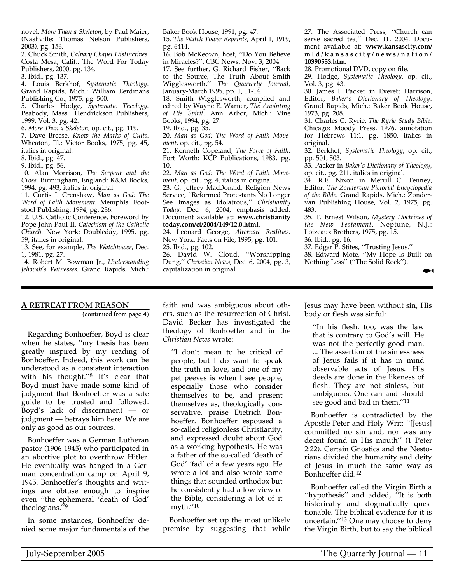novel, *More Than a Skeleton*, by Paul Maier, (Nashville: Thomas Nelson Publishers, 2003), pg. 156.

2. Chuck Smith, *Calvary Chapel Distinctives*. Costa Mesa, Calif.: The Word For Today Publishers, 2000, pg. 134.

3. Ibid., pg. 137.

4. Louis Berkhof, *Systematic Theology*. Grand Rapids, Mich.: William Eerdmans Publishing Co., 1975, pg. 500.

5. Charles Hodge, *Systematic Theology*. Peabody, Mass.: Hendrickson Publishers, 1999, Vol. 3, pg. 42.

6. *More Than a Skeleton*, op. cit., pg. 119.

7. Dave Breese, *Know the Marks of Cults*. Wheaton, Ill.: Victor Books, 1975, pg. 45, italics in original.

8. Ibid., pg. 47.

9. Ibid., pg. 56.

10. Alan Morrison, *The Serpent and the Cross*. Birmingham, England: K&M Books, 1994, pg. 493, italics in original.

11. Curtis I. Crenshaw, *Man as God: The Word of Faith Movement*. Memphis: Footstool Publishing, 1994, pg. 236.

12. U.S. Catholic Conference, Foreword by Pope John Paul II, *Catechism of the Catholic Church*. New York: Doubleday, 1995, pg. 59, italics in original.

13. See, for example, *The Watchtower*, Dec. 1, 1981, pg. 27.

14. Robert M. Bowman Jr., *Understanding Jehovah's Witnesses*. Grand Rapids, Mich.:

#### A RETREAT FROM REASON

(continued from page 4)

Regarding Bonhoeffer, Boyd is clear when he states, ''my thesis has been greatly inspired by my reading of Bonhoeffer. Indeed, this work can be understood as a consistent interaction with his thought.''8 It's clear that Boyd must have made some kind of judgment that Bonhoeffer was a safe guide to be trusted and followed. Boyd's lack of discernment — or judgment — betrays him here. We are only as good as our sources.

Bonhoeffer was a German Lutheran pastor (1906-1945) who participated in an abortive plot to overthrow Hitler. He eventually was hanged in a German concentration camp on April 9, 1945. Bonhoeffer's thoughts and writings are obtuse enough to inspire even ''the ephemeral 'death of God' theologians.''9

In some instances, Bonhoeffer denied some major fundamentals of the Baker Book House, 1991, pg. 47.

15. *The Watch Tower Reprints*, April 1, 1919, pg. 6414.

16. Bob McKeown, host, ''Do You Believe in Miracles?'', CBC News, Nov. 3, 2004.

17. See further, G. Richard Fisher, ''Back to the Source, The Truth About Smith Wigglesworth,'' *The Quarterly Journal*, January-March 1995, pp. 1, 11-14.

18. Smith Wigglesworth, compiled and edited by Wayne E. Warner, *The Anointing of His Spirit*. Ann Arbor, Mich.: Vine Books, 1994, pg. 27.

19. Ibid., pg. 35.

20. *Man as God: The Word of Faith Movement*, op. cit., pg. 54.

21. Kenneth Copeland, *The Force of Faith*. Fort Worth: KCP Publications, 1983, pg. 10.

22. *Man as God: The Word of Faith Movement*, op. cit., pg. 4, italics in original.

23. G. Jeffrey MacDonald, Religion News Service, ''Reformed Protestants No Longer See Images as Idolatrous,'' *Christianity Today*, Dec. 6, 2004, emphasis added. Document available at: **www.christianity today.com/ct/2004/149/12.0.html**.

24. Leonard George, *Alternate Realities*. New York: Facts on File, 1995, pg. 101. 25. Ibid., pg. 102.

26. David W. Cloud, ''Worshipping Dung,'' *Christian News*, Dec. 6, 2004, pg. 3, capitalization in original.

faith and was ambiguous about others, such as the resurrection of Christ. David Becker has investigated the theology of Bonhoeffer and in the *Christian News* wrote:

''I don't mean to be critical of people, but I do want to speak the truth in love, and one of my pet peeves is when I see people, especially those who consider themselves to be, and present themselves as, theologically conservative, praise Dietrich Bonhoeffer. Bonhoeffer espoused a so-called religionless Christianity, and expressed doubt about God as a working hypothesis. He was a father of the so-called 'death of God' 'fad' of a few years ago. He wrote a lot and also wrote some things that sounded orthodox but he consistently had a low view of the Bible, considering a lot of it myth.''10

Bonhoeffer set up the most unlikely premise by suggesting that while 27. The Associated Press, ''Church can serve sacred tea,'' Dec. 11, 2004. Document available at: **www.kansascity.com/ mld/kansascity/news/nation/ 10390553.htm**.

28. Promotional DVD, copy on file.

29. Hodge, *Systematic Theology*, op. cit., Vol. 3, pg. 43.

30. James I. Packer in Everett Harrison, Editor, *Baker's Dictionary of Theology*. Grand Rapids, Mich.: Baker Book House, 1973, pg. 208.

31. Charles C. Ryrie, *The Ryrie Study Bible*. Chicago: Moody Press, 1976, annotation for Hebrews 11:1, pg. 1850, italics in original.

32. Berkhof, *Systematic Theology*, op. cit., pp. 501, 503.

33. Packer in *Baker's Dictionary of Theology*, op. cit., pg. 211, italics in original.

34. R.E. Nixon in Merrill C. Tenney, Editor, *The Zondervan Pictorial Encyclopedia of the Bible*. Grand Rapids, Mich.: Zondervan Publishing House, Vol. 2, 1975, pg. 483.

35. T. Ernest Wilson, *Mystery Doctrines of the New Testament*. Neptune, N.J.: Loizeaux Brothers, 1975, pg. 15.

36. Ibid., pg. 16.

37. Edgar P. Stites, ''Trusting Jesus.''

38. Edward Mote, ''My Hope Is Built on Nothing Less'' (''The Solid Rock'').

 $\bullet$ 

Jesus may have been without sin, His body or flesh was sinful:

''In his flesh, too, was the law that is contrary to God's will. He was not the perfectly good man. ... The assertion of the sinlessness of Jesus fails if it has in mind observable acts of Jesus. His deeds are done in the likeness of flesh. They are not sinless, but ambiguous. One can and should see good and bad in them.''11

Bonhoeffer is contradicted by the Apostle Peter and Holy Writ: ''[Jesus] committed no sin and, nor was any deceit found in His mouth'' (1 Peter 2:22). Certain Gnostics and the Nestorians divided the humanity and deity of Jesus in much the same way as Bonhoeffer did.12

Bonhoeffer called the Virgin Birth a ''hypothesis'' and added, ''It is both historically and dogmatically questionable. The biblical evidence for it is uncertain.''13 One may choose to deny the Virgin Birth, but to say the biblical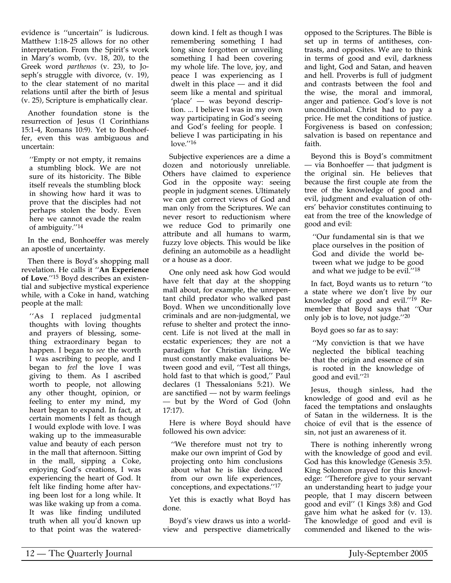evidence is ''uncertain'' is ludicrous. Matthew 1:18-25 allows for no other interpretation. From the Spirit's work in Mary's womb, (vv. 18, 20), to the Greek word *parthenos* (v. 23), to Joseph's struggle with divorce, (v. 19), to the clear statement of no marital relations until after the birth of Jesus (v. 25), Scripture is emphatically clear.

Another foundation stone is the resurrection of Jesus (1 Corinthians 15:1-4, Romans 10:9). Yet to Bonhoeffer, even this was ambiguous and uncertain:

''Empty or not empty, it remains a stumbling block. We are not sure of its historicity. The Bible itself reveals the stumbling block in showing how hard it was to prove that the disciples had not perhaps stolen the body. Even here we cannot evade the realm of ambiguity.''14

In the end, Bonhoeffer was merely an apostle of uncertainty.

Then there is Boyd's shopping mall revelation. He calls it ''**An Experience of Love**.''15 Boyd describes an existential and subjective mystical experience while, with a Coke in hand, watching people at the mall:

''As I replaced judgmental thoughts with loving thoughts and prayers of blessing, something extraordinary began to happen. I began to *see* the worth I was ascribing to people, and I began to *feel* the love I was giving to them. As I ascribed worth to people, not allowing any other thought, opinion, or feeling to enter my mind, my heart began to expand. In fact, at certain moments I felt as though I would explode with love. I was waking up to the immeasurable value and beauty of each person in the mall that afternoon. Sitting in the mall, sipping a Coke, enjoying God's creations, I was experiencing the heart of God. It felt like finding home after having been lost for a long while. It was like waking up from a coma. It was like finding undiluted truth when all you'd known up to that point was the watered-

down kind. I felt as though I was remembering something I had long since forgotten or unveiling something I had been covering my whole life. The love, joy, and peace I was experiencing as I dwelt in this place — and it did seem like a mental and spiritual 'place' — was beyond description. ... I believe I was in my own way participating in God's seeing and God's feeling for people. I believe I was participating in his love.''16

Subjective experiences are a dime a dozen and notoriously unreliable. Others have claimed to experience God in the opposite way: seeing people in judgment scenes. Ultimately we can get correct views of God and man only from the Scriptures. We can never resort to reductionism where we reduce God to primarily one attribute and all humans to warm, fuzzy love objects. This would be like defining an automobile as a headlight or a house as a door.

One only need ask how God would have felt that day at the shopping mall about, for example, the unrepentant child predator who walked past Boyd. When we unconditionally love criminals and are non-judgmental, we refuse to shelter and protect the innocent. Life is not lived at the mall in ecstatic experiences; they are not a paradigm for Christian living. We must constantly make evaluations between good and evil, ''Test all things, hold fast to that which is good,'' Paul declares (1 Thessalonians 5:21). We are sanctified — not by warm feelings — but by the Word of God (John 17:17).

Here is where Boyd should have followed his own advice:

''We therefore must not try to make our own imprint of God by projecting onto him conclusions about what he is like deduced from our own life experiences, conceptions, and expectations.''17

Yet this is exactly what Boyd has done.

Boyd's view draws us into a worldview and perspective diametrically

opposed to the Scriptures. The Bible is set up in terms of antitheses, contrasts, and opposites. We are to think in terms of good and evil, darkness and light, God and Satan, and heaven and hell. Proverbs is full of judgment and contrasts between the fool and the wise, the moral and immoral, anger and patience. God's love is not unconditional. Christ had to pay a price. He met the conditions of justice. Forgiveness is based on confession; salvation is based on repentance and faith.

Beyond this is Boyd's commitment — via Bonhoeffer — that judgment is the original sin. He believes that because the first couple ate from the tree of the knowledge of good and evil, judgment and evaluation of others' behavior constitutes continuing to eat from the tree of the knowledge of good and evil:

''Our fundamental sin is that we place ourselves in the position of God and divide the world between what we judge to be good and what we judge to be evil.''18

In fact, Boyd wants us to return ''to a state where we don't live by our knowledge of good and evil."<sup>19</sup> Remember that Boyd says that ''Our only job is to love, not judge.''20

Boyd goes so far as to say:

''My conviction is that we have neglected the biblical teaching that the origin and essence of sin is rooted in the knowledge of good and evil.''21

Jesus, though sinless, had the knowledge of good and evil as he faced the temptations and onslaughts of Satan in the wilderness. It is the choice of evil that is the essence of sin, not just an awareness of it.

There is nothing inherently wrong with the knowledge of good and evil. God has this knowledge (Genesis 3:5). King Solomon prayed for this knowledge: ''Therefore give to your servant an understanding heart to judge your people, that I may discern between good and evil'' (1 Kings 3:8) and God gave him what he asked for (v. 13). The knowledge of good and evil is commended and likened to the wis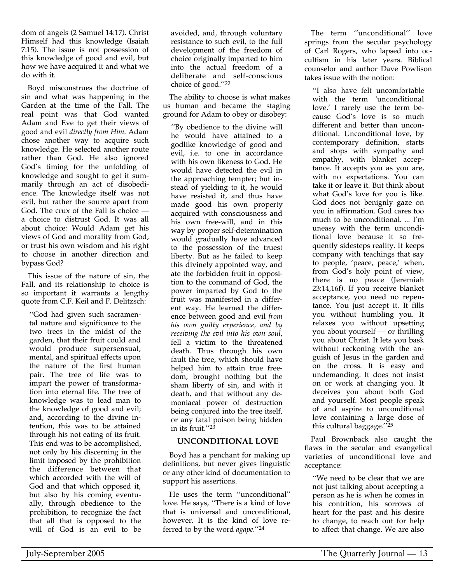dom of angels (2 Samuel 14:17). Christ Himself had this knowledge (Isaiah 7:15). The issue is not possession of this knowledge of good and evil, but how we have acquired it and what we do with it.

Boyd misconstrues the doctrine of sin and what was happening in the Garden at the time of the Fall. The real point was that God wanted Adam and Eve to get their views of good and evil *directly from Him*. Adam chose another way to acquire such knowledge. He selected another route rather than God. He also ignored God's timing for the unfolding of knowledge and sought to get it summarily through an act of disobedience. The knowledge itself was not evil, but rather the source apart from God. The crux of the Fall is choice a choice to distrust God. It was all about choice: Would Adam get his views of God and morality from God, or trust his own wisdom and his right to choose in another direction and bypass God?

This issue of the nature of sin, the Fall, and its relationship to choice is so important it warrants a lengthy quote from C.F. Keil and F. Delitzsch:

''God had given such sacramental nature and significance to the two trees in the midst of the garden, that their fruit could and would produce supersensual, mental, and spiritual effects upon the nature of the first human pair. The tree of life was to impart the power of transformation into eternal life. The tree of knowledge was to lead man to the knowledge of good and evil; and, according to the divine intention, this was to be attained through his not eating of its fruit. This end was to be accomplished, not only by his discerning in the limit imposed by the prohibition the difference between that which accorded with the will of God and that which opposed it, but also by his coming eventually, through obedience to the prohibition, to recognize the fact that all that is opposed to the will of God is an evil to be

avoided, and, through voluntary resistance to such evil, to the full development of the freedom of choice originally imparted to him into the actual freedom of a deliberate and self-conscious choice of good.''22

The ability to choose is what makes us human and became the staging ground for Adam to obey or disobey:

''By obedience to the divine will he would have attained to a godlike knowledge of good and evil, i.e. to one in accordance with his own likeness to God. He would have detected the evil in the approaching tempter; but instead of yielding to it, he would have resisted it, and thus have made good his own property acquired with consciousness and his own free-will, and in this way by proper self-determination would gradually have advanced to the possession of the truest liberty. But as he failed to keep this divinely appointed way, and ate the forbidden fruit in opposition to the command of God, the power imparted by God to the fruit was manifested in a different way. He learned the difference between good and evil *from his own guilty experience, and by receiving the evil into his own soul*, fell a victim to the threatened death. Thus through his own fault the tree, which should have helped him to attain true freedom, brought nothing but the sham liberty of sin, and with it death, and that without any demoniacal power of destruction being conjured into the tree itself, or any fatal poison being hidden in its fruit.''23

# **UNCONDITIONAL LOVE**

Boyd has a penchant for making up definitions, but never gives linguistic or any other kind of documentation to support his assertions.

He uses the term ''unconditional'' love. He says, ''There is a kind of love that is universal and unconditional, however. It is the kind of love referred to by the word *agape*.''24

The term ''unconditional'' love springs from the secular psychology of Carl Rogers, who lapsed into occultism in his later years. Biblical counselor and author Dave Powlison takes issue with the notion:

''I also have felt uncomfortable with the term 'unconditional love.' I rarely use the term because God's love is so much different and better than unconditional. Unconditional love, by contemporary definition, starts and stops with sympathy and empathy, with blanket acceptance. It accepts you as you are, with no expectations. You can take it or leave it. But think about what God's love for you is like. God does not benignly gaze on you in affirmation. God cares too much to be unconditional. ... I'm uneasy with the term unconditional love because it so frequently sidesteps reality. It keeps company with teachings that say to people, 'peace, peace,' when, from God's holy point of view, there is no peace (Jeremiah 23:14,16f). If you receive blanket acceptance, you need no repentance. You just accept it. It fills you without humbling you. It relaxes you without upsetting you about yourself — or thrilling you about Christ. It lets you bask without reckoning with the anguish of Jesus in the garden and on the cross. It is easy and undemanding. It does not insist on or work at changing you. It deceives you about both God and yourself. Most people speak of and aspire to unconditional love containing a large dose of this cultural baggage. $\frac{725}{2}$ 

Paul Brownback also caught the flaws in the secular and evangelical varieties of unconditional love and acceptance:

''We need to be clear that we are not just talking about accepting a person as he is when he comes in his contrition, his sorrows of heart for the past and his desire to change, to reach out for help to affect that change. We are also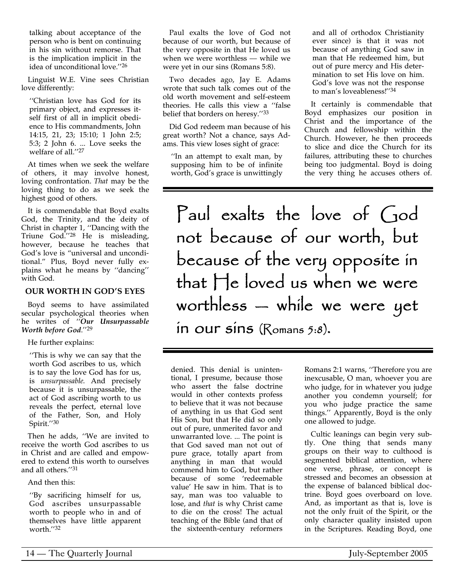talking about acceptance of the person who is bent on continuing in his sin without remorse. That is the implication implicit in the idea of unconditional love.''26

Linguist W.E. Vine sees Christian love differently:

''Christian love has God for its primary object, and expresses itself first of all in implicit obedience to His commandments, John 14:15, 21, 23; 15:10; 1 John 2:5; 5:3; 2 John 6. ... Love seeks the welfare of all.''27

At times when we seek the welfare of others, it may involve honest, loving confrontation. *That* may be the loving thing to do as we seek the highest good of others.

It is commendable that Boyd exalts God, the Trinity, and the deity of Christ in chapter 1, ''Dancing with the Triune God.''28 He is misleading, however, because he teaches that God's love is "universal and unconditional." Plus, Boyd never fully explains what he means by ''dancing'' with God.

# **OUR WORTH IN GOD'S EYES**

Boyd seems to have assimilated secular psychological theories when he writes of ''*Our Unsurpassable Worth before God*.''29

He further explains:

''This is why we can say that the worth God ascribes to us, which is to say the love God has for us, is *unsurpassable*. And precisely because it is unsurpassable, the act of God ascribing worth to us reveals the perfect, eternal love of the Father, Son, and Holy Spirit.''30

Then he adds, ''We are invited to receive the worth God ascribes to us in Christ and are called and empowered to extend this worth to ourselves and all others.''31

And then this:

''By sacrificing himself for us, God ascribes unsurpassable worth to people who in and of themselves have little apparent worth.''32

Paul exalts the love of God not because of our worth, but because of the very opposite in that He loved us when we were worthless — while we were yet in our sins (Romans 5:8).

Two decades ago, Jay E. Adams wrote that such talk comes out of the old worth movement and self-esteem theories. He calls this view a ''false belief that borders on heresy.''33

Did God redeem man because of his great worth? Not a chance, says Adams. This view loses sight of grace:

''In an attempt to exalt man, by supposing him to be of infinite worth, God's grace is unwittingly

and all of orthodox Christianity ever since) is that it was not because of anything God saw in man that He redeemed him, but out of pure mercy and His determination to set His love on him. God's love was not the response to man's loveableness!''34

It certainly is commendable that Boyd emphasizes our position in Christ and the importance of the Church and fellowship within the Church. However, he then proceeds to slice and dice the Church for its failures, attributing these to churches being too judgmental. Boyd is doing the very thing he accuses others of.

Paul exalts the love of God not because of our worth, but because of the very opposite in that He loved us when we were worthless — while we were yet in our sins (Romans 5:8).

denied. This denial is unintentional, I presume, because those who assert the false doctrine would in other contexts profess to believe that it was not because of anything in us that God sent His Son, but that He did so only out of pure, unmerited favor and unwarranted love. ... The point is that God saved man not out of pure grace, totally apart from anything in man that would commend him to God, but rather because of some 'redeemable value' He saw in him. That is to say, man was too valuable to lose, and *that* is why Christ came to die on the cross! The actual teaching of the Bible (and that of the sixteenth-century reformers

Romans 2:1 warns, ''Therefore you are inexcusable, O man, whoever you are who judge, for in whatever you judge another you condemn yourself; for you who judge practice the same things.'' Apparently, Boyd is the only one allowed to judge.

Cultic leanings can begin very subtly. One thing that sends many groups on their way to culthood is segmented biblical attention, where one verse, phrase, or concept is stressed and becomes an obsession at the expense of balanced biblical doctrine. Boyd goes overboard on love. And, as important as that is, love is not the only fruit of the Spirit, or the only character quality insisted upon in the Scriptures. Reading Boyd, one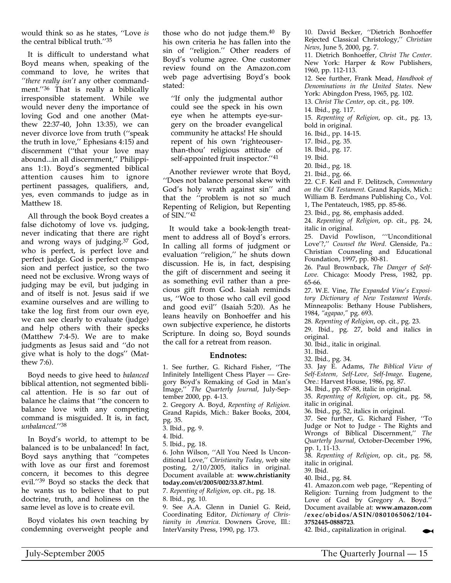would think so as he states, ''Love *is* the central biblical truth.''35

It is difficult to understand what Boyd means when, speaking of the command to love, he writes that *''there really isn't* any other commandment.''36 That is really a biblically irresponsible statement. While we would never deny the importance of loving God and one another (Matthew 22:37-40, John 13:35), we can never divorce love from truth (''speak the truth in love,'' Ephesians 4:15) and discernment (''that your love may abound...in all discernment,'' Philippians 1:1). Boyd's segmented biblical attention causes him to ignore pertinent passages, qualifiers, and, yes, even commands to judge as in Matthew 18.

All through the book Boyd creates a false dichotomy of love vs. judging, never indicating that there are right and wrong ways of judging.37 God, who is perfect, is perfect love and perfect judge. God is perfect compassion and perfect justice, so the two need not be exclusive. Wrong ways of judging may be evil, but judging in and of itself is not. Jesus said if we examine ourselves and are willing to take the log first from our own eye, we can see clearly to evaluate (judge) and help others with their specks (Matthew 7:4-5). We are to make judgments as Jesus said and ''do not give what is holy to the dogs'' (Matthew 7:6).

Boyd needs to give heed to *balanced* biblical attention, not segmented biblical attention. He is so far out of balance he claims that ''the concern to balance love with any competing command is misguided. It is, in fact, *unbalanced*.''38

In Boyd's world, to attempt to be balanced is to be unbalanced! In fact, Boyd says anything that ''competes with love as our first and foremost concern, it becomes to this degree evil.''39 Boyd so stacks the deck that he wants us to believe that to put doctrine, truth, and holiness on the same level as love is to create evil.

Boyd violates his own teaching by condemning overweight people and

those who do not judge them. $40$  By his own criteria he has fallen into the sin of ''religion.'' Other readers of Boyd's volume agree. One customer review found on the Amazon.com web page advertising Boyd's book stated:

''If only the judgmental author could see the speck in his own eye when he attempts eye-surgery on the broader evangelical community he attacks! He should repent of his own 'righteouserthan-thou' religious attitude of self-appointed fruit inspector.''41

Another reviewer wrote that Boyd, ''Does not balance personal skew with God's holy wrath against sin'' and that the ''problem is not so much Repenting of Religion, but Repenting of  $\text{SIN}$ ." $4\overline{2}$ 

It would take a book-length treatment to address all of Boyd's errors. In calling all forms of judgment or evaluation ''religion,'' he shuts down discussion. He is, in fact, despising the gift of discernment and seeing it as something evil rather than a precious gift from God. Isaiah reminds us, ''Woe to those who call evil good and good evil'' (Isaiah 5:20). As he leans heavily on Bonhoeffer and his own subjective experience, he distorts Scripture. In doing so, Boyd sounds the call for a retreat from reason.

#### **Endnotes:**

1. See further, G. Richard Fisher, ''The Infinitely Intelligent Chess Player — Gregory Boyd's Remaking of God in Man's Image,'' *The Quarterly Journal*, July-September 2000, pp. 4-13. 2. Gregory A. Boyd, *Repenting of Religion*.

Grand Rapids, Mich.: Baker Books, 2004, pg. 35.

4. Ibid.

5. Ibid., pg. 18.

6. John Wilson, ''All You Need Is Unconditional Love,'' *Christianity Today*, web site posting, 2/10/2005, italics in original. Document available at: **www.christianity today.com/ct/2005/002/33.87.html**.

7. *Repenting of Religion*, op. cit., pg. 18. 8. Ibid., pg. 10.

9. See A.A. Glenn in Daniel G. Reid, Coordinating Editor, *Dictionary of Christianity in America*. Downers Grove, Ill.: InterVarsity Press, 1990, pg. 173.

10. David Becker, ''Dietrich Bonhoeffer Rejected Classical Christology,'' *Christian News*, June 5, 2000, pg. 7.

11. Dietrich Bonhoeffer, *Christ The Center*. New York: Harper & Row Publishers, 1960, pp. 112-113.

12. See further, Frank Mead, *Handbook of Denominations in the United States*. New York: Abingdon Press, 1965, pg. 102.

- 13. *Christ The Center*, op. cit., pg. 109.
- 14. Ibid., pg. 117.

15. *Repenting of Religion*, op. cit., pg. 13, bold in original.

- 16. Ibid., pp. 14-15.
- 17. Ibid., pg. 35.
- 18. Ibid., pg. 17.
- 19. Ibid.
- 20. Ibid., pg. 18.
- 21. Ibid., pg. 66.

22. C.F. Keil and F. Delitzsch, *Commentary on the Old Testament*. Grand Rapids, Mich.: William B. Eerdmans Publishing Co., Vol.

- 1, The Pentateuch, 1985, pp. 85-86.
- 23. Ibid., pg. 86, emphasis added.

24. *Repenting of Religion*, op. cit., pg. 24, italic in original.

25. David Powlison, '''Unconditional Love'?,'' *Counsel the Word*. Glenside, Pa.: Christian Counseling and Educational Foundation, 1997, pp. 80-81.

26. Paul Brownback, *The Danger of Self-Love*. Chicago: Moody Press, 1982, pp. 65-66.

27. W.E. Vine, *The Expanded Vine's Expository Dictionary of New Testament Words*. Minneapolis: Bethany House Publishers, 1984, *"agapao,"* pg. 693.

28. *Repenting of Religion*, op. cit., pg. 23.

29. Ibid., pg. 27, bold and italics in original.

30. Ibid., italic in original.

31. Ibid.

32. Ibid., pg. 34.

33. Jay E. Adams, *The Biblical View of Self-Esteem, Self-Love, Self-Image*. Eugene, Ore.: Harvest House, 1986, pg. 87.

34. Ibid., pp. 87-88, italic in original.

35. *Repenting of Religion*, op. cit., pg. 58, italic in original.

36. Ibid., pg. 52, italics in original.

37. See further, G. Richard Fisher, ''To Judge or Not to Judge - The Rights and Wrongs of Biblical Discernment,'' *The Quarterly Journal*, October-December 1996, pp. 1, 11-13.

38. *Repenting of Religion*, op. cit., pg. 58, italic in original.

39. Ibid.

40. Ibid., pg. 84.

41. Amazon.com web page, ''Repenting of Religion: Turning from Judgment to the Love of God by Gregory A. Boyd.'' Document available at: **www.amazon.com /exec/obidos/ASIN/0801065062/104- 3752445-0888723**.

42. Ibid., capitalization in original.

<sup>3.</sup> Ibid., pg. 9.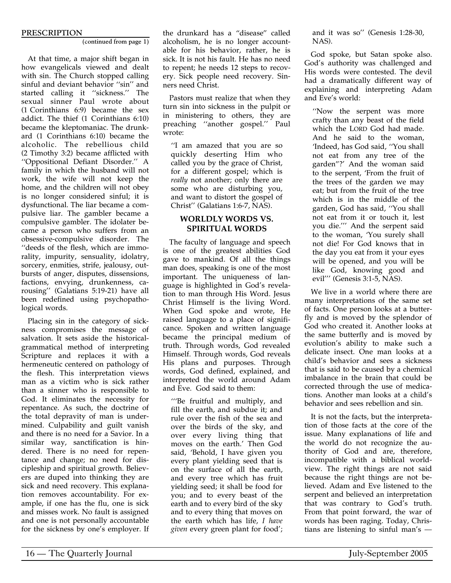(continued from page 1)

At that time, a major shift began in how evangelicals viewed and dealt with sin. The Church stopped calling sinful and deviant behavior ''sin'' and started calling it ''sickness.'' The sexual sinner Paul wrote about (1 Corinthians 6:9) became the sex addict. The thief (1 Corinthians 6:10) became the kleptomaniac. The drunkard (1 Corinthians 6:10) became the alcoholic. The rebellious child (2 Timothy 3:2) became afflicted with ''Oppositional Defiant Disorder.'' A family in which the husband will not work, the wife will not keep the home, and the children will not obey is no longer considered sinful; it is dysfunctional. The liar became a compulsive liar. The gambler became a compulsive gambler. The idolater became a person who suffers from an obsessive-compulsive disorder. The ''deeds of the flesh, which are immorality, impurity, sensuality, idolatry, sorcery, enmities, strife, jealousy, outbursts of anger, disputes, dissensions, factions, envying, drunkenness, carousing'' (Galatians 5:19-21) have all been redefined using psychopathological words.

Placing sin in the category of sickness compromises the message of salvation. It sets aside the historicalgrammatical method of interpreting Scripture and replaces it with a hermeneutic centered on pathology of the flesh. This interpretation views man as a victim who is sick rather than a sinner who is responsible to God. It eliminates the necessity for repentance. As such, the doctrine of the total depravity of man is undermined. Culpability and guilt vanish and there is no need for a Savior. In a similar way, sanctification is hindered. There is no need for repentance and change; no need for discipleship and spiritual growth. Believers are duped into thinking they are sick and need recovery. This explanation removes accountability. For example, if one has the flu, one is sick and misses work. No fault is assigned and one is not personally accountable for the sickness by one's employer. If the drunkard has a "disease" called alcoholism, he is no longer accountable for his behavior, rather, he is sick. It is not his fault. He has no need to repent; he needs 12 steps to recovery. Sick people need recovery. Sinners need Christ.

Pastors must realize that when they turn sin into sickness in the pulpit or in ministering to others, they are preaching ''another gospel.'' Paul wrote:

''I am amazed that you are so quickly deserting Him who called you by the grace of Christ, for a different gospel; which is *really* not another; only there are some who are disturbing you, and want to distort the gospel of Christ'' (Galatians 1:6-7, NAS).

## **WORLDLY WORDS VS. SPIRITUAL WORDS**

The faculty of language and speech is one of the greatest abilities God gave to mankind. Of all the things man does, speaking is one of the most important. The uniqueness of language is highlighted in God's revelation to man through His Word. Jesus Christ Himself is the living Word. When God spoke and wrote, He raised language to a place of significance. Spoken and written language became the principal medium of truth. Through words, God revealed Himself. Through words, God reveals His plans and purposes. Through words, God defined, explained, and interpreted the world around Adam and Eve. God said to them:

'''Be fruitful and multiply, and fill the earth, and subdue it; and rule over the fish of the sea and over the birds of the sky, and over every living thing that moves on the earth.' Then God said, 'Behold, I have given you every plant yielding seed that is on the surface of all the earth, and every tree which has fruit yielding seed; it shall be food for you; and to every beast of the earth and to every bird of the sky and to every thing that moves on the earth which has life, *I have given* every green plant for food';

and it was so'' (Genesis 1:28-30, NAS).

God spoke, but Satan spoke also. God's authority was challenged and His words were contested. The devil had a dramatically different way of explaining and interpreting Adam and Eve's world:

''Now the serpent was more crafty than any beast of the field which the LORD God had made. And he said to the woman, 'Indeed, has God said, ''You shall not eat from any tree of the garden"?' And the woman said to the serpent, 'From the fruit of the trees of the garden we may eat; but from the fruit of the tree which is in the middle of the garden, God has said, ''You shall not eat from it or touch it, lest you die.''' And the serpent said to the woman, 'You surely shall not die! For God knows that in the day you eat from it your eyes will be opened, and you will be like God, knowing good and evil''' (Genesis 3:1-5, NAS).

We live in a world where there are many interpretations of the same set of facts. One person looks at a butterfly and is moved by the splendor of God who created it. Another looks at the same butterfly and is moved by evolution's ability to make such a delicate insect. One man looks at a child's behavior and sees a sickness that is said to be caused by a chemical imbalance in the brain that could be corrected through the use of medications. Another man looks at a child's behavior and sees rebellion and sin.

It is not the facts, but the interpretation of those facts at the core of the issue. Many explanations of life and the world do not recognize the authority of God and are, therefore, incompatible with a biblical worldview. The right things are not said because the right things are not believed. Adam and Eve listened to the serpent and believed an interpretation that was contrary to God's truth. From that point forward, the war of words has been raging. Today, Christians are listening to sinful man's —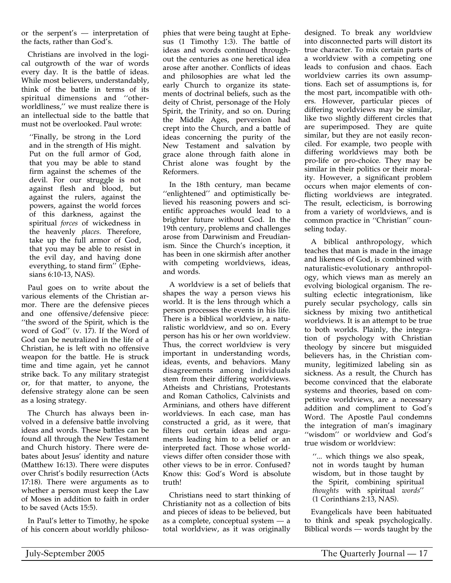or the serpent's — interpretation of the facts, rather than God's.

Christians are involved in the logical outgrowth of the war of words every day. It is the battle of ideas. While most believers, understandably, think of the battle in terms of its spiritual dimensions and ''otherworldliness,'' we must realize there is an intellectual side to the battle that must not be overlooked. Paul wrote:

''Finally, be strong in the Lord and in the strength of His might. Put on the full armor of God, that you may be able to stand firm against the schemes of the devil. For our struggle is not against flesh and blood, but against the rulers, against the powers, against the world forces of this darkness, against the spiritual *forces* of wickedness in the heavenly *places*. Therefore, take up the full armor of God, that you may be able to resist in the evil day, and having done everything, to stand firm'' (Ephesians 6:10-13, NAS).

Paul goes on to write about the various elements of the Christian armor. There are the defensive pieces and one offensive/defensive piece: ''the sword of the Spirit, which is the word of God'' (v. 17). If the Word of God can be neutralized in the life of a Christian, he is left with no offensive weapon for the battle. He is struck time and time again, yet he cannot strike back. To any military strategist or, for that matter, to anyone, the defensive strategy alone can be seen as a losing strategy.

The Church has always been involved in a defensive battle involving ideas and words. These battles can be found all through the New Testament and Church history. There were debates about Jesus' identity and nature (Matthew 16:13). There were disputes over Christ's bodily resurrection (Acts 17:18). There were arguments as to whether a person must keep the Law of Moses in addition to faith in order to be saved (Acts 15:5).

In Paul's letter to Timothy, he spoke of his concern about worldly philosophies that were being taught at Ephesus (1 Timothy 1:3). The battle of ideas and words continued throughout the centuries as one heretical idea arose after another. Conflicts of ideas and philosophies are what led the early Church to organize its statements of doctrinal beliefs, such as the deity of Christ, personage of the Holy Spirit, the Trinity, and so on. During the Middle Ages, perversion had crept into the Church, and a battle of ideas concerning the purity of the New Testament and salvation by grace alone through faith alone in Christ alone was fought by the Reformers.

In the 18th century, man became ''enlightened'' and optimistically believed his reasoning powers and scientific approaches would lead to a brighter future without God. In the 19th century, problems and challenges arose from Darwinism and Freudianism. Since the Church's inception, it has been in one skirmish after another with competing worldviews, ideas, and words.

A worldview is a set of beliefs that shapes the way a person views his world. It is the lens through which a person processes the events in his life. There is a biblical worldview, a naturalistic worldview, and so on. Every person has his or her own worldview. Thus, the correct worldview is very important in understanding words, ideas, events, and behaviors. Many disagreements among individuals stem from their differing worldviews. Atheists and Christians, Protestants and Roman Catholics, Calvinists and Arminians, and others have different worldviews. In each case, man has constructed a grid, as it were, that filters out certain ideas and arguments leading him to a belief or an interpreted fact. Those whose worldviews differ often consider those with other views to be in error. Confused? Know this: God's Word is absolute truth!

Christians need to start thinking of Christianity not as a collection of bits and pieces of ideas to be believed, but as a complete, conceptual system — a total worldview, as it was originally

designed. To break any worldview into disconnected parts will distort its true character. To mix certain parts of a worldview with a competing one leads to confusion and chaos. Each worldview carries its own assumptions. Each set of assumptions is, for the most part, incompatible with others. However, particular pieces of differing worldviews may be similar, like two slightly different circles that are superimposed. They are quite similar, but they are not easily reconciled. For example, two people with differing worldviews may both be pro-life or pro-choice. They may be similar in their politics or their morality. However, a significant problem occurs when major elements of conflicting worldviews are integrated. The result, eclecticism, is borrowing from a variety of worldviews, and is common practice in ''Christian'' counseling today.

A biblical anthropology, which teaches that man is made in the image and likeness of God, is combined with naturalistic-evolutionary anthropology, which views man as merely an evolving biological organism. The resulting eclectic integrationism, like purely secular psychology, calls sin sickness by mixing two antithetical worldviews. It is an attempt to be true to both worlds. Plainly, the integration of psychology with Christian theology by sincere but misguided believers has, in the Christian community, legitimized labeling sin as sickness. As a result, the Church has become convinced that the elaborate systems and theories, based on competitive worldviews, are a necessary addition and compliment to God's Word. The Apostle Paul condemns the integration of man's imaginary "wisdom" or worldview and God's true wisdom or worldview:

''... which things we also speak, not in words taught by human wisdom, but in those taught by the Spirit, combining spiritual *thoughts* with spiritual *words*'' (1 Corinthians 2:13, NAS).

Evangelicals have been habituated to think and speak psychologically. Biblical words — words taught by the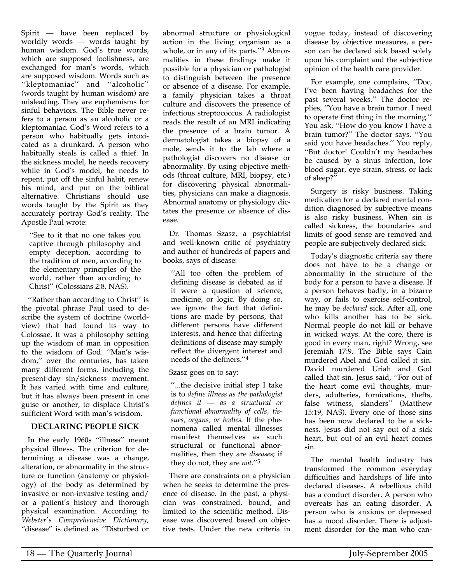Spirit — have been replaced by worldly words — words taught by human wisdom. God's true words, which are supposed foolishness, are exchanged for man's words, which are supposed wisdom. Words such as ''kleptomaniac'' and ''alcoholic'' (words taught by human wisdom) are misleading. They are euphemisms for sinful behaviors. The Bible never refers to a person as an alcoholic or a kleptomaniac. God's Word refers to a person who habitually gets intoxicated as a drunkard. A person who habitually steals is called a thief. In the sickness model, he needs recovery while in God's model, he needs to repent, put off the sinful habit, renew his mind, and put on the biblical alternative. Christians should use words taught by the Spirit as they accurately portray God's reality. The Apostle Paul wrote:

''See to it that no one takes you captive through philosophy and empty deception, according to the tradition of men, according to the elementary principles of the world, rather than according to Christ'' (Colossians 2:8, NAS).

''Rather than according to Christ'' is the pivotal phrase Paul used to describe the system of doctrine (worldview) that had found its way to Colossae. It was a philosophy setting up the wisdom of man in opposition to the wisdom of God. ''Man's wisdom,'' over the centuries, has taken many different forms, including the present-day sin/sickness movement. It has varied with time and culture, but it has always been present in one guise or another, to displace Christ's sufficient Word with man's wisdom.

# **DECLARING PEOPLE SICK**

In the early 1960s ''illness'' meant physical illness. The criterion for determining a disease was a change, alteration, or abnormality in the structure or function (anatomy or physiology) of the body as determined by invasive or non-invasive testing and/ or a patient's history and thorough physical examination. According to *Webster's Comprehensive Dictionary*, "disease" is defined as ''Disturbed or

abnormal structure or physiological action in the living organism as a whole, or in any of its parts.''3 Abnormalities in these findings make it possible for a physician or pathologist to distinguish between the presence or absence of a disease. For example, a family physician takes a throat culture and discovers the presence of infectious streptococcus. A radiologist reads the result of an MRI indicating the presence of a brain tumor. A dermatologist takes a biopsy of a mole, sends it to the lab where a pathologist discovers no disease or abnormality. By using objective methods (throat culture, MRI, biopsy, etc.) for discovering physical abnormalities, physicians can make a diagnosis. Abnormal anatomy or physiology dictates the presence or absence of disease.

Dr. Thomas Szasz, a psychiatrist and well-known critic of psychiatry and author of hundreds of papers and books, says of disease:

''All too often the problem of defining disease is debated as if it were a question of science, medicine, or logic. By doing so, we ignore the fact that definitions are made by persons, that different persons have different interests, and hence that differing definitions of disease may simply reflect the divergent interest and needs of the definers.''4

Szasz goes on to say:

''...the decisive initial step I take is to *define illness as the pathologist defines it — as a structural or functional abnormality of cells, tissues, organs, or bodies*. If the phenomena called mental illnesses manifest themselves as such structural or functional abnormalities, then they are *diseases*; if they do not, they are *not*.''5

There are constraints on a physician when he seeks to determine the presence of disease. In the past, a physician was constrained, bound, and limited to the scientific method. Disease was discovered based on objective tests. Under the new criteria in

vogue today, instead of discovering disease by objective measures, a person can be declared sick based solely upon his complaint and the subjective opinion of the health care provider.

For example, one complains, ''Doc, I've been having headaches for the past several weeks.'' The doctor replies, ''You have a brain tumor. I need to operate first thing in the morning.'' You ask, ''How do you know I have a brain tumor?'' The doctor says, ''You said you have headaches.'' You reply, ''But doctor! Couldn't my headaches be caused by a sinus infection, low blood sugar, eye strain, stress, or lack of sleep?''

Surgery is risky business. Taking medication for a declared mental condition diagnosed by subjective means is also risky business. When sin is called sickness, the boundaries and limits of good sense are removed and people are subjectively declared sick.

Today's diagnostic criteria say there does not have to be a change or abnormality in the structure of the body for a person to have a disease. If a person behaves badly, in a bizarre way, or fails to exercise self-control, he may be *declared* sick. After all, one who kills another has to be sick. Normal people do not kill or behave in wicked ways. At the core, there is good in every man, right? Wrong, see Jeremiah 17:9. The Bible says Cain murdered Abel and God called it sin. David murdered Uriah and God called that sin. Jesus said, ''For out of the heart come evil thoughts, murders, adulteries, fornications, thefts, false witness, slanders'' (Matthew 15:19, NAS). Every one of those sins has been now declared to be a sickness. Jesus did not say out of a sick heart, but out of an evil heart comes sin.

The mental health industry has transformed the common everyday difficulties and hardships of life into declared diseases. A rebellious child has a conduct disorder. A person who overeats has an eating disorder. A person who is anxious or depressed has a mood disorder. There is adjustment disorder for the man who can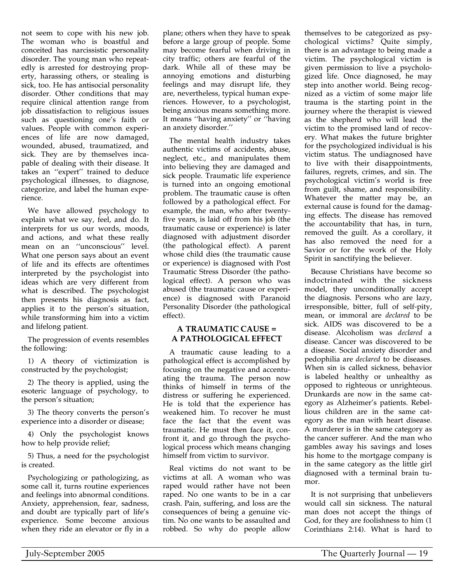not seem to cope with his new job. The woman who is boastful and conceited has narcissistic personality disorder. The young man who repeatedly is arrested for destroying property, harassing others, or stealing is sick, too. He has antisocial personality disorder. Other conditions that may require clinical attention range from job dissatisfaction to religious issues such as questioning one's faith or values. People with common experiences of life are now damaged, wounded, abused, traumatized, and sick. They are by themselves incapable of dealing with their disease. It takes an ''expert'' trained to deduce psychological illnesses, to diagnose, categorize, and label the human experience.

We have allowed psychology to explain what we say, feel, and do. It interprets for us our words, moods, and actions, and what these really mean on an ''unconscious'' level. What one person says about an event of life and its effects are oftentimes interpreted by the psychologist into ideas which are very different from what is described. The psychologist then presents his diagnosis as fact, applies it to the person's situation, while transforming him into a victim and lifelong patient.

The progression of events resembles the following:

1) A theory of victimization is constructed by the psychologist;

2) The theory is applied, using the esoteric language of psychology, to the person's situation;

3) The theory converts the person's experience into a disorder or disease;

4) Only the psychologist knows how to help provide relief;

5) Thus, a need for the psychologist is created.

Psychologizing or pathologizing, as some call it, turns routine experiences and feelings into abnormal conditions. Anxiety, apprehension, fear, sadness, and doubt are typically part of life's experience. Some become anxious when they ride an elevator or fly in a plane; others when they have to speak before a large group of people. Some may become fearful when driving in city traffic; others are fearful of the dark. While all of these may be annoying emotions and disturbing feelings and may disrupt life, they are, nevertheless, typical human experiences. However, to a psychologist, being anxious means something more. It means ''having anxiety'' or ''having an anxiety disorder.''

The mental health industry takes authentic victims of accidents, abuse, neglect, etc., and manipulates them into believing they are damaged and sick people. Traumatic life experience is turned into an ongoing emotional problem. The traumatic cause is often followed by a pathological effect. For example, the man, who after twentyfive years, is laid off from his job (the traumatic cause or experience) is later diagnosed with adjustment disorder (the pathological effect). A parent whose child dies (the traumatic cause or experience) is diagnosed with Post Traumatic Stress Disorder (the pathological effect). A person who was abused (the traumatic cause or experience) is diagnosed with Paranoid Personality Disorder (the pathological effect).

### **A TRAUMATIC CAUSE = A PATHOLOGICAL EFFECT**

A traumatic cause leading to a pathological effect is accomplished by focusing on the negative and accentuating the trauma. The person now thinks of himself in terms of the distress or suffering he experienced. He is told that the experience has weakened him. To recover he must face the fact that the event was traumatic. He must then face it, confront it, and go through the psychological process which means changing himself from victim to survivor.

Real victims do not want to be victims at all. A woman who was raped would rather have not been raped. No one wants to be in a car crash. Pain, suffering, and loss are the consequences of being a genuine victim. No one wants to be assaulted and robbed. So why do people allow

themselves to be categorized as psychological victims? Quite simply, there is an advantage to being made a victim. The psychological victim is given permission to live a psychologized life. Once diagnosed, he may step into another world. Being recognized as a victim of some major life trauma is the starting point in the journey where the therapist is viewed as the shepherd who will lead the victim to the promised land of recovery. What makes the future brighter for the psychologized individual is his victim status. The undiagnosed have to live with their disappointments, failures, regrets, crimes, and sin. The psychological victim's world is free from guilt, shame, and responsibility. Whatever the matter may be, an external cause is found for the damaging effects. The disease has removed the accountability that has, in turn, removed the guilt. As a corollary, it has also removed the need for a Savior or for the work of the Holy Spirit in sanctifying the believer.

Because Christians have become so indoctrinated with the sickness model, they unconditionally accept the diagnosis. Persons who are lazy, irresponsible, bitter, full of self-pity, mean, or immoral are *declared* to be sick. AIDS was discovered to be a disease. Alcoholism was *declared* a disease. Cancer was discovered to be a disease. Social anxiety disorder and pedophilia are *declared* to be diseases. When sin is called sickness, behavior is labeled healthy or unhealthy as opposed to righteous or unrighteous. Drunkards are now in the same category as Alzheimer's patients. Rebellious children are in the same category as the man with heart disease. A murderer is in the same category as the cancer sufferer. And the man who gambles away his savings and loses his home to the mortgage company is in the same category as the little girl diagnosed with a terminal brain tumor.

It is not surprising that unbelievers would call sin sickness. The natural man does not accept the things of God, for they are foolishness to him (1 Corinthians 2:14). What is hard to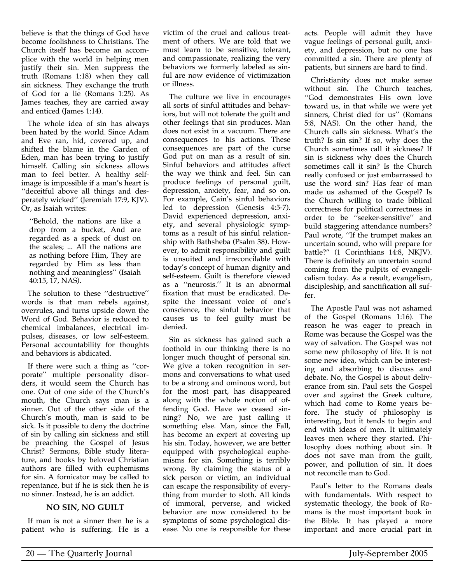believe is that the things of God have become foolishness to Christians. The Church itself has become an accomplice with the world in helping men justify their sin. Men suppress the truth (Romans 1:18) when they call sin sickness. They exchange the truth of God for a lie (Romans 1:25). As James teaches, they are carried away and enticed (James 1:14).

The whole idea of sin has always been hated by the world. Since Adam and Eve ran, hid, covered up, and shifted the blame in the Garden of Eden, man has been trying to justify himself. Calling sin sickness allows man to feel better. A healthy selfimage is impossible if a man's heart is ''deceitful above all things and desperately wicked'' (Jeremiah 17:9, KJV). Or, as Isaiah writes:

''Behold, the nations are like a drop from a bucket, And are regarded as a speck of dust on the scales; ... All the nations are as nothing before Him, They are regarded by Him as less than nothing and meaningless'' (Isaiah 40:15, 17, NAS).

The solution to these ''destructive'' words is that man rebels against, overrules, and turns upside down the Word of God. Behavior is reduced to chemical imbalances, electrical impulses, diseases, or low self-esteem. Personal accountability for thoughts and behaviors is abdicated.

If there were such a thing as ''corporate'' multiple personality disorders, it would seem the Church has one. Out of one side of the Church's mouth, the Church says man is a sinner. Out of the other side of the Church's mouth, man is said to be sick. Is it possible to deny the doctrine of sin by calling sin sickness and still be preaching the Gospel of Jesus Christ? Sermons, Bible study literature, and books by beloved Christian authors are filled with euphemisms for sin. A fornicator may be called to repentance, but if he is sick then he is no sinner. Instead, he is an addict.

### **NO SIN, NO GUILT**

If man is not a sinner then he is a patient who is suffering. He is a victim of the cruel and callous treatment of others. We are told that we must learn to be sensitive, tolerant, and compassionate, realizing the very behaviors we formerly labeled as sinful are now evidence of victimization or illness.

The culture we live in encourages all sorts of sinful attitudes and behaviors, but will not tolerate the guilt and other feelings that sin produces. Man does not exist in a vacuum. There are consequences to his actions. These consequences are part of the curse God put on man as a result of sin. Sinful behaviors and attitudes affect the way we think and feel. Sin can produce feelings of personal guilt, depression, anxiety, fear, and so on. For example, Cain's sinful behaviors led to depression (Genesis 4:5-7). David experienced depression, anxiety, and several physiologic symptoms as a result of his sinful relationship with Bathsheba (Psalm 38). However, to admit responsibility and guilt is unsuited and irreconcilable with today's concept of human dignity and self-esteem. Guilt is therefore viewed as a ''neurosis.'' It is an abnormal fixation that must be eradicated. Despite the incessant voice of one's conscience, the sinful behavior that causes us to feel guilty must be denied.

Sin as sickness has gained such a foothold in our thinking there is no longer much thought of personal sin. We give a token recognition in sermons and conversations to what used to be a strong and ominous word, but for the most part, has disappeared along with the whole notion of offending God. Have we ceased sinning? No, we are just calling it something else. Man, since the Fall, has become an expert at covering up his sin. Today, however, we are better equipped with psychological euphemisms for sin. Something is terribly wrong. By claiming the status of a sick person or victim, an individual can escape the responsibility of everything from murder to sloth. All kinds of immoral, perverse, and wicked behavior are now considered to be symptoms of some psychological disease. No one is responsible for these acts. People will admit they have vague feelings of personal guilt, anxiety, and depression, but no one has committed a sin. There are plenty of patients, but sinners are hard to find.

Christianity does not make sense without sin. The Church teaches, ''God demonstrates His own love toward us, in that while we were yet sinners, Christ died for us'' (Romans 5:8, NAS). On the other hand, the Church calls sin sickness. What's the truth? Is sin sin? If so, why does the Church sometimes call it sickness? If sin is sickness why does the Church sometimes call it sin? Is the Church really confused or just embarrassed to use the word sin? Has fear of man made us ashamed of the Gospel? Is the Church willing to trade biblical correctness for political correctness in order to be ''seeker-sensitive'' and build staggering attendance numbers? Paul wrote, ''If the trumpet makes an uncertain sound, who will prepare for battle?" (1 Corinthians 14:8, NKJV). There is definitely an uncertain sound coming from the pulpits of evangelicalism today. As a result, evangelism, discipleship, and sanctification all suffer.

The Apostle Paul was not ashamed of the Gospel (Romans 1:16). The reason he was eager to preach in Rome was because the Gospel was the way of salvation. The Gospel was not some new philosophy of life. It is not some new idea, which can be interesting and absorbing to discuss and debate. No, the Gospel is about deliverance from sin. Paul sets the Gospel over and against the Greek culture, which had come to Rome years before. The study of philosophy is interesting, but it tends to begin and end with ideas of men. It ultimately leaves men where they started. Philosophy does nothing about sin. It does not save man from the guilt, power, and pollution of sin. It does not reconcile man to God.

Paul's letter to the Romans deals with fundamentals. With respect to systematic theology, the book of Romans is the most important book in the Bible. It has played a more important and more crucial part in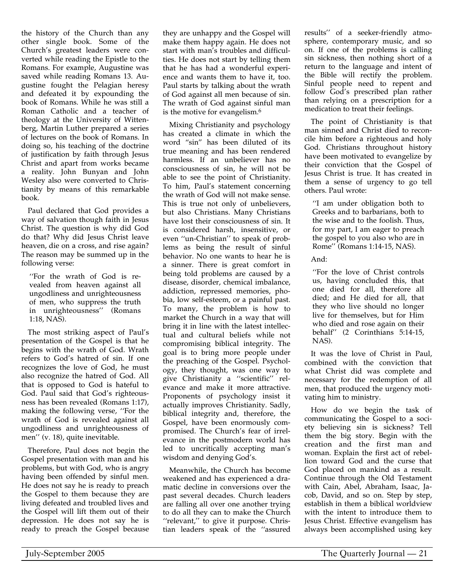the history of the Church than any other single book. Some of the Church's greatest leaders were converted while reading the Epistle to the Romans. For example, Augustine was saved while reading Romans 13. Augustine fought the Pelagian heresy and defeated it by expounding the book of Romans. While he was still a Roman Catholic and a teacher of theology at the University of Wittenberg, Martin Luther prepared a series of lectures on the book of Romans. In doing so, his teaching of the doctrine of justification by faith through Jesus Christ and apart from works became a reality. John Bunyan and John Wesley also were converted to Christianity by means of this remarkable book.

Paul declared that God provides a way of salvation though faith in Jesus Christ. The question is why did God do that? Why did Jesus Christ leave heaven, die on a cross, and rise again? The reason may be summed up in the following verse:

''For the wrath of God is revealed from heaven against all ungodliness and unrighteousness of men, who suppress the truth in unrighteousness'' (Romans 1:18, NAS).

The most striking aspect of Paul's presentation of the Gospel is that he begins with the wrath of God. Wrath refers to God's hatred of sin. If one recognizes the love of God, he must also recognize the hatred of God. All that is opposed to God is hateful to God. Paul said that God's righteousness has been revealed (Romans 1:17), making the following verse, ''For the wrath of God is revealed against all ungodliness and unrighteousness of men'' (v. 18), quite inevitable.

Therefore, Paul does not begin the Gospel presentation with man and his problems, but with God, who is angry having been offended by sinful men. He does not say he is ready to preach the Gospel to them because they are living defeated and troubled lives and the Gospel will lift them out of their depression. He does not say he is ready to preach the Gospel because

they are unhappy and the Gospel will make them happy again. He does not start with man's troubles and difficulties. He does not start by telling them that he has had a wonderful experience and wants them to have it, too. Paul starts by talking about the wrath of God against all men because of sin. The wrath of God against sinful man is the motive for evangelism.6

Mixing Christianity and psychology has created a climate in which the word "sin" has been diluted of its true meaning and has been rendered harmless. If an unbeliever has no consciousness of sin, he will not be able to see the point of Christianity. To him, Paul's statement concerning the wrath of God will not make sense. This is true not only of unbelievers, but also Christians. Many Christians have lost their consciousness of sin. It is considered harsh, insensitive, or even ''un-Christian'' to speak of problems as being the result of sinful behavior. No one wants to hear he is a sinner. There is great comfort in being told problems are caused by a disease, disorder, chemical imbalance, addiction, repressed memories, phobia, low self-esteem, or a painful past. To many, the problem is how to market the Church in a way that will bring it in line with the latest intellectual and cultural beliefs while not compromising biblical integrity. The goal is to bring more people under the preaching of the Gospel. Psychology, they thought, was one way to give Christianity a ''scientific'' relevance and make it more attractive. Proponents of psychology insist it actually improves Christianity. Sadly, biblical integrity and, therefore, the Gospel, have been enormously compromised. The Church's fear of irrelevance in the postmodern world has led to uncritically accepting man's wisdom and denying God's.

Meanwhile, the Church has become weakened and has experienced a dramatic decline in conversions over the past several decades. Church leaders are falling all over one another trying to do all they can to make the Church "relevant," to give it purpose. Christian leaders speak of the ''assured results'' of a seeker-friendly atmosphere, contemporary music, and so on. If one of the problems is calling sin sickness, then nothing short of a return to the language and intent of the Bible will rectify the problem. Sinful people need to repent and follow God's prescribed plan rather than relying on a prescription for a medication to treat their feelings.

The point of Christianity is that man sinned and Christ died to reconcile him before a righteous and holy God. Christians throughout history have been motivated to evangelize by their conviction that the Gospel of Jesus Christ is true. It has created in them a sense of urgency to go tell others. Paul wrote:

''I am under obligation both to Greeks and to barbarians, both to the wise and to the foolish. Thus, for my part, I am eager to preach the gospel to you also who are in Rome'' (Romans 1:14-15, NAS).

 $And`$ 

''For the love of Christ controls us, having concluded this, that one died for all, therefore all died; and He died for all, that they who live should no longer live for themselves, but for Him who died and rose again on their behalf'' (2 Corinthians 5:14-15, NAS).

It was the love of Christ in Paul, combined with the conviction that what Christ did was complete and necessary for the redemption of all men, that produced the urgency motivating him to ministry.

How do we begin the task of communicating the Gospel to a society believing sin is sickness? Tell them the big story. Begin with the creation and the first man and woman. Explain the first act of rebellion toward God and the curse that God placed on mankind as a result. Continue through the Old Testament with Cain, Abel, Abraham, Isaac, Jacob, David, and so on. Step by step, establish in them a biblical worldview with the intent to introduce them to Jesus Christ. Effective evangelism has always been accomplished using key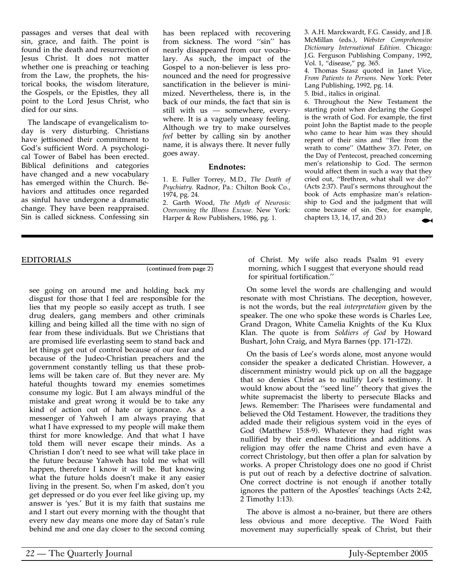passages and verses that deal with sin, grace, and faith. The point is found in the death and resurrection of Jesus Christ. It does not matter whether one is preaching or teaching from the Law, the prophets, the historical books, the wisdom literature, the Gospels, or the Epistles, they all point to the Lord Jesus Christ, who died for our sins.

The landscape of evangelicalism today is very disturbing. Christians have jettisoned their commitment to God's sufficient Word. A psychological Tower of Babel has been erected. Biblical definitions and categories have changed and a new vocabulary has emerged within the Church. Behaviors and attitudes once regarded as sinful have undergone a dramatic change. They have been reappraised. Sin is called sickness. Confessing sin has been replaced with recovering from sickness. The word ''sin'' has nearly disappeared from our vocabulary. As such, the impact of the Gospel to a non-believer is less pronounced and the need for progressive sanctification in the believer is minimized. Nevertheless, there is, in the back of our minds, the fact that sin is still with us — somewhere, everywhere. It is a vaguely uneasy feeling. Although we try to make ourselves *feel* better by calling sin by another name, it is always there. It never fully goes away.

#### **Endnotes:**

1. E. Fuller Torrey, M.D., *The Death of Psychiatry*. Radnor, Pa.: Chilton Book Co., 1974, pg. 24.

2. Garth Wood, *The Myth of Neurosis: Overcoming the Illness Excuse*. New York: Harper & Row Publishers, 1986, pg. 1.

3. A.H. Marckwardt, F.G. Cassidy, and J.B. McMillan (eds.), *Webster Comprehensive Dictionary International Edition*. Chicago: J.G. Ferguson Publishing Company, 1992, Vol. 1, "disease," pg. 365.

4. Thomas Szasz quoted in Janet Vice, *From Patients to Persons*. New York: Peter Lang Publishing, 1992, pg. 14. 5. Ibid., italics in original.

6. Throughout the New Testament the starting point when declaring the Gospel is the wrath of God. For example, the first point John the Baptist made to the people who came to hear him was they should repent of their sins and ''flee from the wrath to come'' (Matthew 3:7). Peter, on the Day of Pentecost, preached concerning men's relationship to God. The sermon would affect them in such a way that they cried out, ''Brethren, what shall we do?'' (Acts 2:37). Paul's sermons throughout the book of Acts emphasize man's relationship to God and the judgment that will come because of sin. (See, for example, chapters 13, 14, 17, and 20.) g

### EDITORIALS

(continued from page 2)

see going on around me and holding back my disgust for those that I feel are responsible for the lies that my people so easily accept as truth. I see drug dealers, gang members and other criminals killing and being killed all the time with no sign of fear from these individuals. But we Christians that are promised life everlasting seem to stand back and let things get out of control because of our fear and because of the Judeo-Christian preachers and the government constantly telling us that these problems will be taken care of. But they never are. My hateful thoughts toward my enemies sometimes consume my logic. But I am always mindful of the mistake and great wrong it would be to take any kind of action out of hate or ignorance. As a messenger of Yahweh I am always praying that what I have expressed to my people will make them thirst for more knowledge. And that what I have told them will never escape their minds. As a Christian I don't need to see what will take place in the future because Yahweh has told me what will happen, therefore I know it will be. But knowing what the future holds doesn't make it any easier living in the present. So, when I'm asked, don't you get depressed or do you ever feel like giving up, my answer is 'yes.' But it is my faith that sustains me and I start out every morning with the thought that every new day means one more day of Satan's rule behind me and one day closer to the second coming

of Christ. My wife also reads Psalm 91 every morning, which I suggest that everyone should read for spiritual fortification.''

On some level the words are challenging and would resonate with most Christians. The deception, however, is not the words, but the real *interpretation* given by the speaker. The one who spoke these words is Charles Lee, Grand Dragon, White Camelia Knights of the Ku Klux Klan. The quote is from *Soldiers of God* by Howard Bushart, John Craig, and Myra Barnes (pp. 171-172).

On the basis of Lee's words alone, most anyone would consider the speaker a dedicated Christian. However, a discernment ministry would pick up on all the baggage that so denies Christ as to nullify Lee's testimony. It would know about the ''seed line'' theory that gives the white supremacist the liberty to persecute Blacks and Jews. Remember: The Pharisees were fundamental and believed the Old Testament. However, the traditions they added made their religious system void in the eyes of God (Matthew 15:8-9). Whatever they had right was nullified by their endless traditions and additions. A religion may offer the name Christ and even have a correct Christology, but then offer a plan for salvation by works. A proper Christology does one no good if Christ is put out of reach by a defective doctrine of salvation. One correct doctrine is not enough if another totally ignores the pattern of the Apostles' teachings (Acts 2:42, 2 Timothy 1:13).

The above is almost a no-brainer, but there are others less obvious and more deceptive. The Word Faith movement may superficially speak of Christ, but their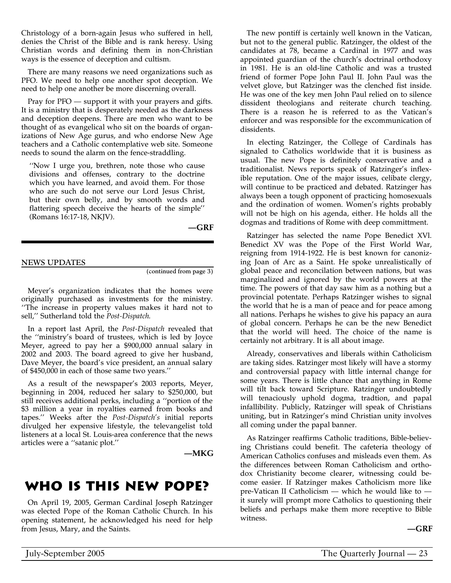Christology of a born-again Jesus who suffered in hell, denies the Christ of the Bible and is rank heresy. Using Christian words and defining them in non-Christian ways is the essence of deception and cultism.

There are many reasons we need organizations such as PFO. We need to help one another spot deception. We need to help one another be more discerning overall.

Pray for PFO — support it with your prayers and gifts. It is a ministry that is desperately needed as the darkness and deception deepens. There are men who want to be thought of as evangelical who sit on the boards of organizations of New Age gurus, and who endorse New Age teachers and a Catholic contemplative web site. Someone needs to sound the alarm on the fence-straddling.

''Now I urge you, brethren, note those who cause divisions and offenses, contrary to the doctrine which you have learned, and avoid them. For those who are such do not serve our Lord Jesus Christ, but their own belly, and by smooth words and flattering speech deceive the hearts of the simple'' (Romans 16:17-18, NKJV).

**—GRF**

#### NEWS UPDATES

(continued from page 3)

Meyer's organization indicates that the homes were originally purchased as investments for the ministry. ''The increase in property values makes it hard not to sell,'' Sutherland told the *Post-Dispatch*.

In a report last April, the *Post-Dispatch* revealed that the ''ministry's board of trustees, which is led by Joyce Meyer, agreed to pay her a \$900,000 annual salary in 2002 and 2003. The board agreed to give her husband, Dave Meyer, the board's vice president, an annual salary of \$450,000 in each of those same two years.''

As a result of the newspaper's 2003 reports, Meyer, beginning in 2004, reduced her salary to \$250,000, but still receives additional perks, including a ''portion of the \$3 million a year in royalties earned from books and tapes.'' Weeks after the *Post-Dispatch's* initial reports divulged her expensive lifestyle, the televangelist told listeners at a local St. Louis-area conference that the news articles were a ''satanic plot.''

**—MKG**

# WHO IS THIS NEW POPE?

On April 19, 2005, German Cardinal Joseph Ratzinger was elected Pope of the Roman Catholic Church. In his opening statement, he acknowledged his need for help from Jesus, Mary, and the Saints.

The new pontiff is certainly well known in the Vatican, but not to the general public. Ratzinger, the oldest of the candidates at 78, became a Cardinal in 1977 and was appointed guardian of the church's doctrinal orthodoxy in 1981. He is an old-line Catholic and was a trusted friend of former Pope John Paul II. John Paul was the velvet glove, but Ratzinger was the clenched fist inside. He was one of the key men John Paul relied on to silence dissident theologians and reiterate church teaching. There is a reason he is referred to as the Vatican's enforcer and was responsible for the excommunication of dissidents.

In electing Ratzinger, the College of Cardinals has signaled to Catholics worldwide that it is business as usual. The new Pope is definitely conservative and a traditionalist. News reports speak of Ratzinger's inflexible reputation. One of the major issues, celibate clergy, will continue to be practiced and debated. Ratzinger has always been a tough opponent of practicing homosexuals and the ordination of women. Women's rights probably will not be high on his agenda, either. He holds all the dogmas and traditions of Rome with deep committment.

Ratzinger has selected the name Pope Benedict XVl. Benedict XV was the Pope of the First World War, reigning from 1914-1922. He is best known for canonizing Joan of Arc as a Saint. He spoke unrealistically of global peace and reconcilation between nations, but was marginalized and ignored by the world powers at the time. The powers of that day saw him as a nothing but a provincial potentate. Perhaps Ratzinger wishes to signal the world that he is a man of peace and for peace among all nations. Perhaps he wishes to give his papacy an aura of global concern. Perhaps he can be the new Benedict that the world will heed. The choice of the name is certainly not arbitrary. It is all about image.

Already, conservatives and liberals within Catholicism are taking sides. Ratzinger most likely will have a stormy and controversial papacy with little internal change for some years. There is little chance that anything in Rome will tilt back toward Scripture. Ratzinger undoubtedly will tenaciously uphold dogma, tradtion, and papal infallibility. Publicly, Ratzinger will speak of Christians uniting, but in Ratzinger's mind Christian unity involves all coming under the papal banner.

As Ratzinger reaffirms Catholic traditions, Bible-believing Christians could benefit. The cafeteria theology of American Catholics confuses and misleads even them. As the differences between Roman Catholicism and orthodox Christianity become clearer, witnessing could become easier. If Ratzinger makes Catholicism more like pre-Vatican II Catholicism — which he would like to  $$ it surely will prompt more Catholics to questioning their beliefs and perhaps make them more receptive to Bible witness.

**—GRF**